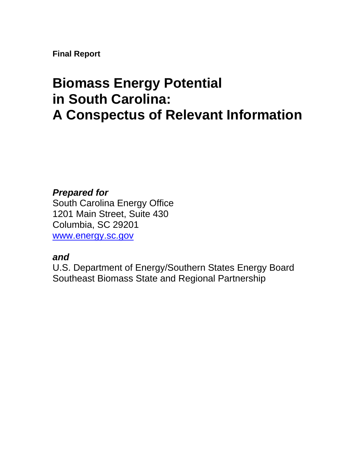**Final Report** 

# **Biomass Energy Potential in South Carolina: A Conspectus of Relevant Information**

# *Prepared for*

South Carolina Energy Office 1201 Main Street, Suite 430 Columbia, SC 29201 [www.energy.sc.gov](http://www.energy.sc.gov/) 

# *and*

U.S. Department of Energy/Southern States Energy Board Southeast Biomass State and Regional Partnership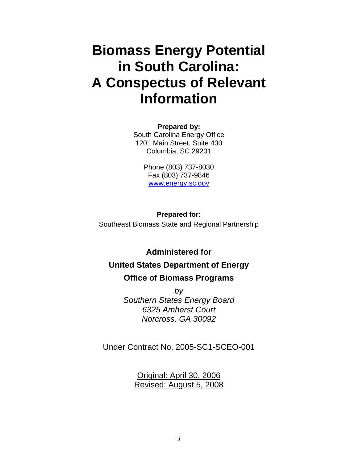# **Biomass Energy Potential in South Carolina: A Conspectus of Relevant Information**

**Prepared by:**  South Carolina Energy Office 1201 Main Street, Suite 430 Columbia, SC 29201

> Phone (803) 737-8030 Fax (803) 737-9846 [www.energy.sc.gov](http://www.energy.sc.gov/)

**Prepared for:**  Southeast Biomass State and Regional Partnership

**Administered for** 

# **United States Department of Energy Office of Biomass Programs**

*by Southern States Energy Board 6325 Amherst Court Norcross, GA 30092* 

Under Contract No. 2005-SC1-SCEO-001

Original: April 30, 2006 Revised: August 5, 2008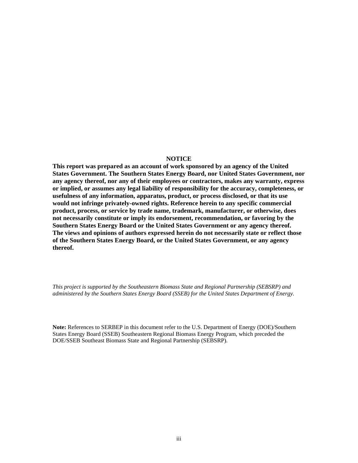#### **NOTICE**

**This report was prepared as an account of work sponsored by an agency of the United States Government. The Southern States Energy Board, nor United States Government, nor any agency thereof, nor any of their employees or contractors, makes any warranty, express or implied, or assumes any legal liability of responsibility for the accuracy, completeness, or usefulness of any information, apparatus, product, or process disclosed, or that its use would not infringe privately-owned rights. Reference herein to any specific commercial product, process, or service by trade name, trademark, manufacturer, or otherwise, does not necessarily constitute or imply its endorsement, recommendation, or favoring by the Southern States Energy Board or the United States Government or any agency thereof. The views and opinions of authors expressed herein do not necessarily state or reflect those of the Southern States Energy Board, or the United States Government, or any agency thereof.**

*This project is supported by the Southeastern Biomass State and Regional Partnership (SEBSRP) and administered by the Southern States Energy Board (SSEB) for the United States Department of Energy.* 

**Note:** References to SERBEP in this document refer to the U.S. Department of Energy (DOE)/Southern States Energy Board (SSEB) Southeastern Regional Biomass Energy Program, which preceded the DOE/SSEB Southeast Biomass State and Regional Partnership (SEBSRP).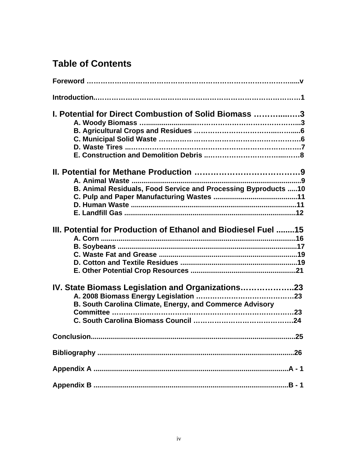# **Table of Contents**

| 1. Potential for Direct Combustion of Solid Biomass 3          |
|----------------------------------------------------------------|
|                                                                |
|                                                                |
|                                                                |
|                                                                |
| B. Animal Residuals, Food Service and Processing Byproducts 10 |
|                                                                |
|                                                                |
| III. Potential for Production of Ethanol and Biodiesel Fuel 15 |
|                                                                |
|                                                                |
|                                                                |
|                                                                |
|                                                                |
| IV. State Biomass Legislation and Organizations23              |
| B. South Carolina Climate, Energy, and Commerce Advisory       |
|                                                                |
|                                                                |
|                                                                |
|                                                                |
|                                                                |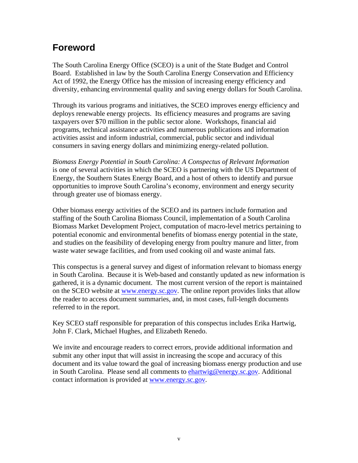# **Foreword**

The South Carolina Energy Office (SCEO) is a unit of the State Budget and Control Board. Established in law by the South Carolina Energy Conservation and Efficiency Act of 1992, the Energy Office has the mission of increasing energy efficiency and diversity, enhancing environmental quality and saving energy dollars for South Carolina.

Through its various programs and initiatives, the SCEO improves energy efficiency and deploys renewable energy projects. Its efficiency measures and programs are saving taxpayers over \$70 million in the public sector alone. Workshops, financial aid programs, technical assistance activities and numerous publications and information activities assist and inform industrial, commercial, public sector and individual consumers in saving energy dollars and minimizing energy-related pollution.

*Biomass Energy Potential in South Carolina: A Conspectus of Relevant Information*  is one of several activities in which the SCEO is partnering with the US Department of Energy, the Southern States Energy Board, and a host of others to identify and pursue opportunities to improve South Carolina's economy, environment and energy security through greater use of biomass energy.

Other biomass energy activities of the SCEO and its partners include formation and staffing of the South Carolina Biomass Council, implementation of a South Carolina Biomass Market Development Project, computation of macro-level metrics pertaining to potential economic and environmental benefits of biomass energy potential in the state, and studies on the feasibility of developing energy from poultry manure and litter, from waste water sewage facilities, and from used cooking oil and waste animal fats.

This conspectus is a general survey and digest of information relevant to biomass energy in South Carolina. Because it is Web-based and constantly updated as new information is gathered, it is a dynamic document. The most current version of the report is maintained on the SCEO website at [www.energy.sc.gov](http://www.energy.sc./). The online report provides links that allow the reader to access document summaries, and, in most cases, full-length documents referred to in the report.

Key SCEO staff responsible for preparation of this conspectus includes Erika Hartwig, John F. Clark, Michael Hughes, and Elizabeth Renedo.

We invite and encourage readers to correct errors, provide additional information and submit any other input that will assist in increasing the scope and accuracy of this document and its value toward the goal of increasing biomass energy production and use in South Carolina. Please send all comments to [ehartwig@energy.sc.gov.](mailto:ehartwig@energy.sc.gov) Additional contact information is provided at [www.energy.sc.gov](http://www.energy.sc.gov/).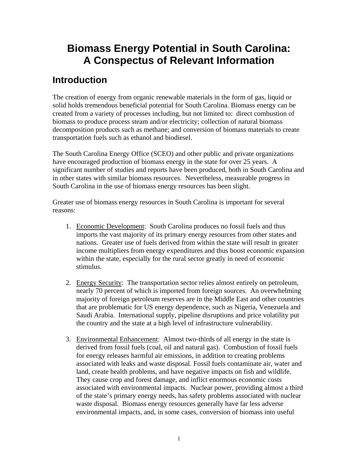# **Biomass Energy Potential in South Carolina: A Conspectus of Relevant Information**

# **Introduction**

The creation of energy from organic renewable materials in the form of gas, liquid or solid holds tremendous beneficial potential for South Carolina. Biomass energy can be created from a variety of processes including, but not limited to: direct combustion of biomass to produce process steam and/or electricity; collection of natural biomass decomposition products such as methane; and conversion of biomass materials to create transportation fuels such as ethanol and biodiesel.

The South Carolina Energy Office (SCEO) and other public and private organizations have encouraged production of biomass energy in the state for over 25 years. A significant number of studies and reports have been produced, both in South Carolina and in other states with similar biomass resources. Nevertheless, measurable progress in South Carolina in the use of biomass energy resources has been slight.

Greater use of biomass energy resources in South Carolina is important for several reasons:

- 1. Economic Development: South Carolina produces no fossil fuels and thus imports the vast majority of its primary energy resources from other states and nations. Greater use of fuels derived from within the state will result in greater income multipliers from energy expenditures and thus boost economic expansion within the state, especially for the rural sector greatly in need of economic stimulus.
- 2. Energy Security: The transportation sector relies almost entirely on petroleum, nearly 70 percent of which is imported from foreign sources. An overwhelming majority of foreign petroleum reserves are in the Middle East and other countries that are problematic for US energy dependence, such as Nigeria, Venezuela and Saudi Arabia. International supply, pipeline disruptions and price volatility put the country and the state at a high level of infrastructure vulnerability.
- 3. Environmental Enhancement: Almost two-thirds of all energy in the state is derived from fossil fuels (coal, oil and natural gas). Combustion of fossil fuels for energy releases harmful air emissions, in addition to creating problems associated with leaks and waste disposal. Fossil fuels contaminate air, water and land, create health problems, and have negative impacts on fish and wildlife. They cause crop and forest damage, and inflict enormous economic costs associated with environmental impacts. Nuclear power, providing almost a third of the state's primary energy needs, has safety problems associated with nuclear waste disposal. Biomass energy resources generally have far less adverse environmental impacts, and, in some cases, conversion of biomass into useful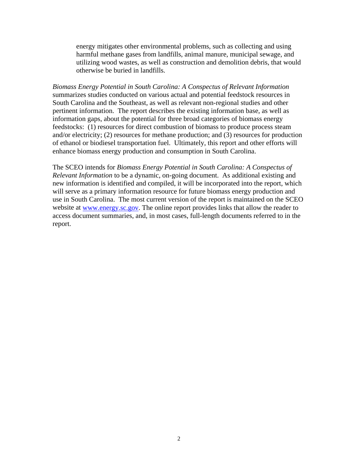energy mitigates other environmental problems, such as collecting and using harmful methane gases from landfills, animal manure, municipal sewage, and utilizing wood wastes, as well as construction and demolition debris, that would otherwise be buried in landfills.

*Biomass Energy Potential in South Carolina: A Conspectus of Relevant Information*  summarizes studies conducted on various actual and potential feedstock resources in South Carolina and the Southeast, as well as relevant non-regional studies and other pertinent information. The report describes the existing information base, as well as information gaps, about the potential for three broad categories of biomass energy feedstocks: (1) resources for direct combustion of biomass to produce process steam and/or electricity; (2) resources for methane production; and (3) resources for production of ethanol or biodiesel transportation fuel. Ultimately, this report and other efforts will enhance biomass energy production and consumption in South Carolina.

The SCEO intends for *Biomass Energy Potential in South Carolina: A Conspectus of Relevant Information* to be a dynamic, on-going document. As additional existing and new information is identified and compiled, it will be incorporated into the report, which will serve as a primary information resource for future biomass energy production and use in South Carolina. The most current version of the report is maintained on the SCEO website at www.energy.sc.gov. The online report provides links that allow the reader to access document summaries, and, in most cases, full-length documents referred to in the report.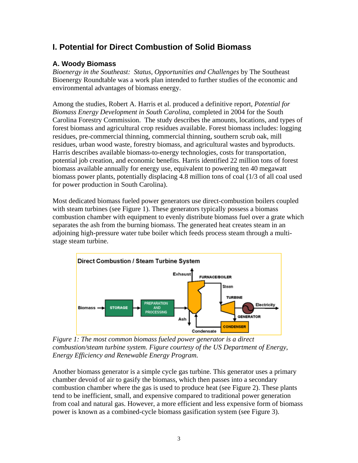# **I. Potential for Direct Combustion of Solid Biomass**

### **A. Woody Biomass**

*Bioenergy in the Southeast: Status, Opportunities and Challenges* by The Southeast Bioenergy Roundtable was a work plan intended to further studies of the economic and environmental advantages of biomass energy.

Among the studies, Robert A. Harris et al. produced a definitive report, *Potential for Biomass Energy Development in South Carolina,* completed in 2004 for the South Carolina Forestry Commission. The study describes the amounts, locations, and types of forest biomass and agricultural crop residues available. Forest biomass includes: logging residues, pre-commercial thinning, commercial thinning, southern scrub oak, mill residues, urban wood waste, forestry biomass, and agricultural wastes and byproducts. Harris describes available biomass-to-energy technologies, costs for transportation, potential job creation, and economic benefits. Harris identified 22 million tons of forest biomass available annually for energy use, equivalent to powering ten 40 megawatt biomass power plants, potentially displacing 4.8 million tons of coal (1/3 of all coal used for power production in South Carolina).

Most dedicated biomass fueled power generators use direct-combustion boilers coupled with steam turbines (see Figure 1). These generators typically possess a biomass combustion chamber with equipment to evenly distribute biomass fuel over a grate which separates the ash from the burning biomass. The generated heat creates steam in an adjoining high-pressure water tube boiler which feeds process steam through a multistage steam turbine.



*Figure 1: The most common biomass fueled power generator is a direct combustion/steam turbine system. Figure courtesy of the US Department of Energy, Energy Efficiency and Renewable Energy Program.* 

Another biomass generator is a simple cycle gas turbine. This generator uses a primary chamber devoid of air to gasify the biomass, which then passes into a secondary combustion chamber where the gas is used to produce heat (see Figure 2). These plants tend to be inefficient, small, and expensive compared to traditional power generation from coal and natural gas. However, a more efficient and less expensive form of biomass power is known as a combined-cycle biomass gasification system (see Figure 3).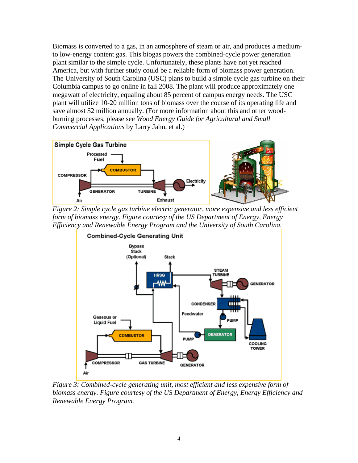Biomass is converted to a gas, in an atmosphere of steam or air, and produces a mediumto low-energy content gas. This biogas powers the combined-cycle power generation plant similar to the simple cycle. Unfortunately, these plants have not yet reached America, but with further study could be a reliable form of biomass power generation. The University of South Carolina (USC) plans to build a simple cycle gas turbine on their Columbia campus to go online in fall 2008. The plant will produce approximately one megawatt of electricity, equaling about 85 percent of campus energy needs. The USC plant will utilize 10-20 million tons of biomass over the course of its operating life and save almost \$2 million annually. (For more information about this and other woodburning processes, please see *Wood Energy Guide for Agricultural and Small Commercial Applications* by Larry Jahn, et al.)



*Figure 2: Simple cycle gas turbine electric generator, more expensive and less efficient form of biomass energy. Figure courtesy of the US Department of Energy, Energy Efficiency and Renewable Energy Program and the University of South Carolina.* 



*Figure 3: Combined-cycle generating unit, most efficient and less expensive form of biomass energy. Figure courtesy of the US Department of Energy, Energy Efficiency and Renewable Energy Program.*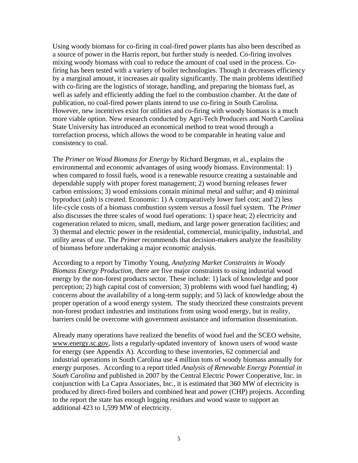Using woody biomass for co-firing in coal-fired power plants has also been described as a source of power in the Harris report, but further study is needed. Co-firing involves mixing woody biomass with coal to reduce the amount of coal used in the process. Cofiring has been tested with a variety of boiler technologies. Though it decreases efficiency by a marginal amount, it increases air quality significantly. The main problems identified with co-firing are the logistics of storage, handling, and preparing the biomass fuel, as well as safely and efficiently adding the fuel to the combustion chamber. At the date of publication, no coal-fired power plants intend to use co-firing in South Carolina. However, new incentives exist for utilities and co-firing with woody biomass is a much more viable option. New research conducted by Agri-Tech Producers and North Carolina State University has introduced an economical method to treat wood through a torrefaction process, which allows the wood to be comparable in heating value and consistency to coal.

The *Primer on Wood Biomass for Energy* by Richard Bergman, et al., explains the environmental and economic advantages of using woody biomass. Environmental: 1) when compared to fossil fuels, wood is a renewable resource creating a sustainable and dependable supply with proper forest management; 2) wood burning releases fewer carbon emissions; 3) wood emissions contain minimal metal and sulfur; and 4) minimal byproduct (ash) is created. Economic: 1) A comparatively lower fuel cost; and 2) less life-cycle costs of a biomass combustion system versus a fossil fuel system. The *Primer* also discusses the three scales of wood fuel operations: 1) space heat; 2) electricity and cogeneration related to micro, small, medium, and large power generation facilities; and 3) thermal and electric power in the residential, commercial, municipality, industrial, and utility areas of use. The *Primer* recommends that decision-makers analyze the feasibility of biomass before undertaking a major economic analysis.

According to a report by Timothy Young, *Analyzing Market Constraints in Woody Biomass Energy Production*, there are five major constraints to using industrial wood energy by the non-forest products sector. These include: 1) lack of knowledge and poor perception; 2) high capital cost of conversion; 3) problems with wood fuel handling; 4) concerns about the availability of a long-term supply; and 5) lack of knowledge about the proper operation of a wood energy system. The study theorized these constraints prevent non-forest product industries and institutions from using wood energy, but in reality, barriers could be overcome with government assistance and information dissemination.

Already many operations have realized the benefits of wood fuel and the SCEO website, [www.energy.sc.gov,](http://www.energy.sc.gov/) lists a regularly-updated inventory of known users of wood waste for energy (see Appendix A). According to these inventories, 62 commercial and industrial operations in South Carolina use 4 million tons of woody biomass annually for energy purposes. According to a report titled *Analysis of Renewable Energy Potential in South Carolina* and published in 2007 by the Central Electric Power Cooperative, Inc. in conjunction with La Capra Associates, Inc., it is estimated that 360 MW of electricity is produced by direct-fired boilers and combined heat and power (CHP) projects. According to the report the state has enough logging residues and wood waste to support an additional 423 to 1,599 MW of electricity.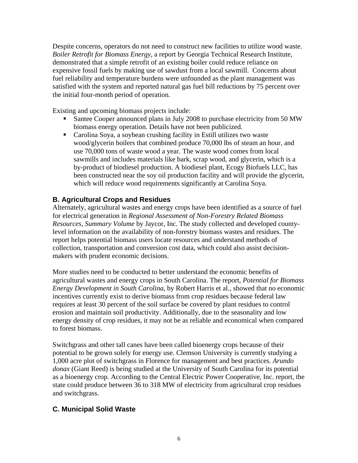Despite concerns, operators do not need to construct new facilities to utilize wood waste. *Boiler Retrofit for Biomass Energy*, a report by Georgia Technical Research Institute, demonstrated that a simple retrofit of an existing boiler could reduce reliance on expensive fossil fuels by making use of sawdust from a local sawmill. Concerns about fuel reliability and temperature burdens were unfounded as the plant management was satisfied with the system and reported natural gas fuel bill reductions by 75 percent over the initial four-month period of operation.

Existing and upcoming biomass projects include:

- Santee Cooper announced plans in July 2008 to purchase electricity from 50 MW biomass energy operation. Details have not been publicized.
- Carolina Soya, a soybean crushing facility in Estill utilizes two waste wood/glycerin boilers that combined produce 70,000 lbs of steam an hour, and use 70,000 tons of waste wood a year. The waste wood comes from local sawmills and includes materials like bark, scrap wood, and glycerin, which is a by-product of biodiesel production. A biodiesel plant, Ecogy Biofuels LLC, has been constructed near the soy oil production facility and will provide the glycerin, which will reduce wood requirements significantly at Carolina Soya.

### **B. Agricultural Crops and Residues**

Alternately, agricultural wastes and energy crops have been identified as a source of fuel for electrical generation in *Regional Assessment of Non-Forestry Related Biomass Resources, Summary Volume* by Jaycor, Inc. The study collected and developed countylevel information on the availability of non-forestry biomass wastes and residues. The report helps potential biomass users locate resources and understand methods of collection, transportation and conversion cost data, which could also assist decisionmakers with prudent economic decisions.

More studies need to be conducted to better understand the economic benefits of agricultural wastes and energy crops in South Carolina. The report, *Potential for Biomass Energy Development in South Carolina*, by Robert Harris et al., showed that no economic incentives currently exist to derive biomass from crop residues because federal law requires at least 30 percent of the soil surface be covered by plant residues to control erosion and maintain soil productivity. Additionally, due to the seasonality and low energy density of crop residues, it may not be as reliable and economical when compared to forest biomass.

Switchgrass and other tall canes have been called bioenergy crops because of their potential to be grown solely for energy use. Clemson University is currently studying a 1,000 acre plot of switchgrass in Florence for management and best practices. *Arundo donax* (Giant Reed) is being studied at the University of South Carolina for its potential as a bioenergy crop. According to the Central Electric Power Cooperative, Inc. report, the state could produce between 36 to 318 MW of electricity from agricultural crop residues and switchgrass.

### **C. Municipal Solid Waste**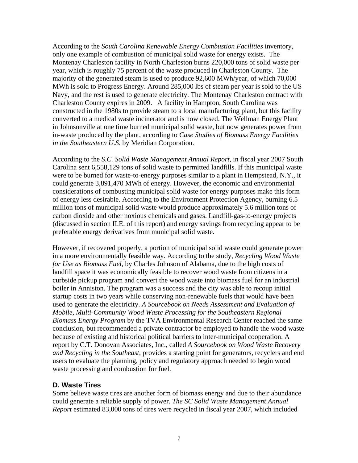According to the *South Carolina Renewable Energy Combustion Facilities* inventory, only one example of combustion of municipal solid waste for energy exists. The Montenay Charleston facility in North Charleston burns 220,000 tons of solid waste per year, which is roughly 75 percent of the waste produced in Charleston County. The majority of the generated steam is used to produce 92,600 MWh/year, of which 70,000 MWh is sold to Progress Energy. Around 285,000 lbs of steam per year is sold to the US Navy, and the rest is used to generate electricity. The Montenay Charleston contract with Charleston County expires in 2009. A facility in Hampton, South Carolina was constructed in the 1980s to provide steam to a local manufacturing plant, but this facility converted to a medical waste incinerator and is now closed. The Wellman Energy Plant in Johnsonville at one time burned municipal solid waste, but now generates power from in-waste produced by the plant, according to *Case Studies of Biomass Energy Facilities in the Southeastern U.S.* by Meridian Corporation.

According to the *S.C. Solid Waste Management Annual Report*, in fiscal year 2007 South Carolina sent 6,558,129 tons of solid waste to permitted landfills. If this municipal waste were to be burned for waste-to-energy purposes similar to a plant in Hempstead, N.Y., it could generate 3,891,470 MWh of energy. However, the economic and environmental considerations of combusting municipal solid waste for energy purposes make this form of energy less desirable. According to the Environment Protection Agency, burning 6.5 million tons of municipal solid waste would produce approximately 5.6 million tons of carbon dioxide and other noxious chemicals and gases. Landfill-gas-to-energy projects (discussed in section II.E. of this report) and energy savings from recycling appear to be preferable energy derivatives from municipal solid waste.

However, if recovered properly, a portion of municipal solid waste could generate power in a more environmentally feasible way. According to the study, *Recycling Wood Waste for Use as Biomass Fuel*, by Charles Johnson of Alabama, due to the high costs of landfill space it was economically feasible to recover wood waste from citizens in a curbside pickup program and convert the wood waste into biomass fuel for an industrial boiler in Anniston. The program was a success and the city was able to recoup initial startup costs in two years while conserving non-renewable fuels that would have been used to generate the electricity. *A Sourcebook on Needs Assessment and Evaluation of Mobile, Multi-Community Wood Waste Processing for the Southeastern Regional Biomass Energy Program* by the TVA Environmental Research Center reached the same conclusion, but recommended a private contractor be employed to handle the wood waste because of existing and historical political barriers to inter-municipal cooperation. A report by C.T. Donovan Associates, Inc., called *A Sourcebook on Wood Waste Recovery and Recycling in the Southeast*, provides a starting point for generators, recyclers and end users to evaluate the planning, policy and regulatory approach needed to begin wood waste processing and combustion for fuel.

#### **D. Waste Tires**

Some believe waste tires are another form of biomass energy and due to their abundance could generate a reliable supply of power. *The SC Solid Waste Management Annual Report* estimated 83,000 tons of tires were recycled in fiscal year 2007, which included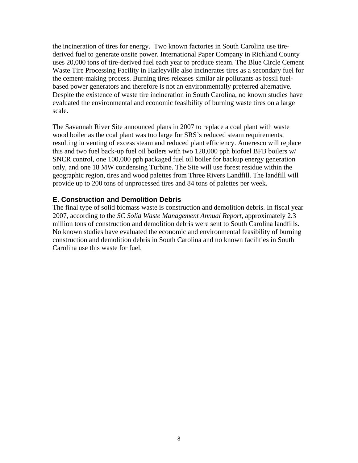the incineration of tires for energy. Two known factories in South Carolina use tirederived fuel to generate onsite power. International Paper Company in Richland County uses 20,000 tons of tire-derived fuel each year to produce steam. The Blue Circle Cement Waste Tire Processing Facility in Harleyville also incinerates tires as a secondary fuel for the cement-making process. Burning tires releases similar air pollutants as fossil fuelbased power generators and therefore is not an environmentally preferred alternative. Despite the existence of waste tire incineration in South Carolina, no known studies have evaluated the environmental and economic feasibility of burning waste tires on a large scale.

The Savannah River Site announced plans in 2007 to replace a coal plant with waste wood boiler as the coal plant was too large for SRS's reduced steam requirements, resulting in venting of excess steam and reduced plant efficiency. Ameresco will replace this and two fuel back-up fuel oil boilers with two 120,000 pph biofuel BFB boilers w/ SNCR control, one 100,000 pph packaged fuel oil boiler for backup energy generation only, and one 18 MW condensing Turbine. The Site will use forest residue within the geographic region, tires and wood palettes from Three Rivers Landfill. The landfill will provide up to 200 tons of unprocessed tires and 84 tons of palettes per week.

#### **E. Construction and Demolition Debris**

The final type of solid biomass waste is construction and demolition debris. In fiscal year 2007, according to the *SC Solid Waste Management Annual Report*, approximately 2.3 million tons of construction and demolition debris were sent to South Carolina landfills. No known studies have evaluated the economic and environmental feasibility of burning construction and demolition debris in South Carolina and no known facilities in South Carolina use this waste for fuel.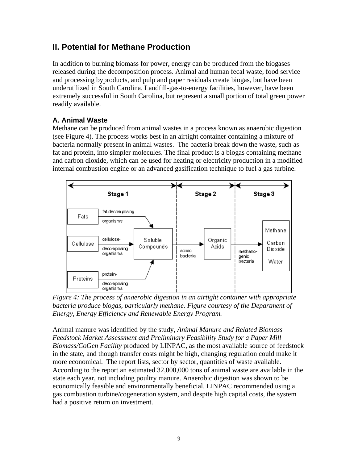# **II. Potential for Methane Production**

In addition to burning biomass for power, energy can be produced from the biogases released during the decomposition process. Animal and human fecal waste, food service and processing byproducts, and pulp and paper residuals create biogas, but have been underutilized in South Carolina. Landfill-gas-to-energy facilities, however, have been extremely successful in South Carolina, but represent a small portion of total green power readily available.

### **A. Animal Waste**

Methane can be produced from animal wastes in a process known as anaerobic digestion (see Figure 4). The process works best in an airtight container containing a mixture of bacteria normally present in animal wastes. The bacteria break down the waste, such as fat and protein, into simpler molecules. The final product is a biogas containing methane and carbon dioxide, which can be used for heating or electricity production in a modified internal combustion engine or an advanced gasification technique to fuel a gas turbine.



*Figure 4: The process of anaerobic digestion in an airtight container with appropriate*  bacteria produce biogas, particularly methane. Figure courtesy of the Department of *Energy, Energy Efficiency and Renewable Energy Program.* 

Animal manure was identified by the study, *Animal Manure and Related Biomass Feedstock Market Assessment and Preliminary Feasibility Study for a Paper Mill Biomass/CoGen Facility* produced by LINPAC, as the most available source of feedstock in the state, and though transfer costs might be high, changing regulation could make it more economical. The report lists, sector by sector, quantities of waste available. According to the report an estimated 32,000,000 tons of animal waste are available in the state each year, not including poultry manure. Anaerobic digestion was shown to be economically feasible and environmentally beneficial. LINPAC recommended using a gas combustion turbine/cogeneration system, and despite high capital costs, the system had a positive return on investment.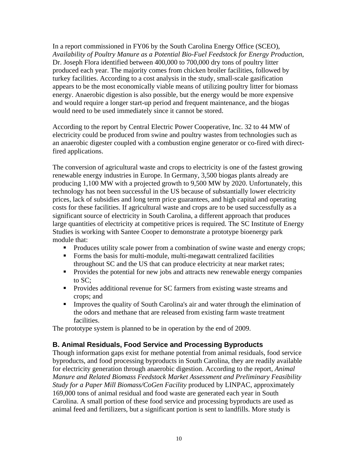In a report commissioned in FY06 by the South Carolina Energy Office (SCEO), *Availability of Poultry Manure as a Potential Bio-Fuel Feedstock for Energy Production*, Dr. Joseph Flora identified between 400,000 to 700,000 dry tons of poultry litter produced each year. The majority comes from chicken broiler facilities, followed by turkey facilities. According to a cost analysis in the study, small-scale gasification appears to be the most economically viable means of utilizing poultry litter for biomass energy. Anaerobic digestion is also possible, but the energy would be more expensive and would require a longer start-up period and frequent maintenance, and the biogas would need to be used immediately since it cannot be stored.

According to the report by Central Electric Power Cooperative, Inc. 32 to 44 MW of electricity could be produced from swine and poultry wastes from technologies such as an anaerobic digester coupled with a combustion engine generator or co-fired with directfired applications.

The conversion of agricultural waste and crops to electricity is one of the fastest growing renewable energy industries in Europe. In Germany, 3,500 biogas plants already are producing 1,100 MW with a projected growth to 9,500 MW by 2020. Unfortunately, this technology has not been successful in the US because of substantially lower electricity prices, lack of subsidies and long term price guarantees, and high capital and operating costs for these facilities. If agricultural waste and crops are to be used successfully as a significant source of electricity in South Carolina, a different approach that produces large quantities of electricity at competitive prices is required. The SC Institute of Energy Studies is working with Santee Cooper to demonstrate a prototype bioenergy park module that:

- Produces utility scale power from a combination of swine waste and energy crops;
- Forms the basis for multi-module, multi-megawatt centralized facilities throughout SC and the US that can produce electricity at near market rates;
- **Provides the potential for new jobs and attracts new renewable energy companies** to SC;
- **Provides additional revenue for SC farmers from existing waste streams and** crops; and
- **Improves the quality of South Carolina's air and water through the elimination of** the odors and methane that are released from existing farm waste treatment facilities.

The prototype system is planned to be in operation by the end of 2009.

#### **B. Animal Residuals, Food Service and Processing Byproducts**

Though information gaps exist for methane potential from animal residuals, food service byproducts, and food processing byproducts in South Carolina, they are readily available for electricity generation through anaerobic digestion. According to the report, *Animal Manure and Related Biomass Feedstock Market Assessment and Preliminary Feasibility Study for a Paper Mill Biomass/CoGen Facility* produced by LINPAC, approximately 169,000 tons of animal residual and food waste are generated each year in South Carolina. A small portion of these food service and processing byproducts are used as animal feed and fertilizers, but a significant portion is sent to landfills. More study is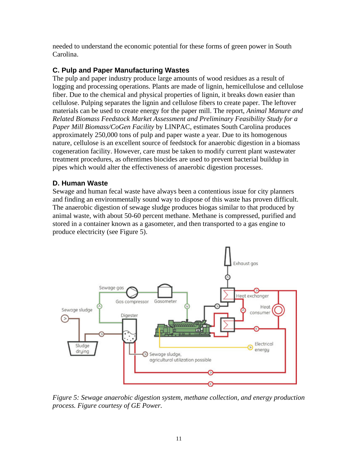needed to understand the economic potential for these forms of green power in South Carolina.

### **C. Pulp and Paper Manufacturing Wastes**

The pulp and paper industry produce large amounts of wood residues as a result of logging and processing operations. Plants are made of lignin, hemicellulose and cellulose fiber. Due to the chemical and physical properties of lignin, it breaks down easier than cellulose. Pulping separates the lignin and cellulose fibers to create paper. The leftover materials can be used to create energy for the paper mill. The report, *Animal Manure and Related Biomass Feedstock Market Assessment and Preliminary Feasibility Study for a Paper Mill Biomass/CoGen Facility* by LINPAC, estimates South Carolina produces approximately 250,000 tons of pulp and paper waste a year. Due to its homogenous nature, cellulose is an excellent source of feedstock for anaerobic digestion in a biomass cogeneration facility. However, care must be taken to modify current plant wastewater treatment procedures, as oftentimes biocides are used to prevent bacterial buildup in pipes which would alter the effectiveness of anaerobic digestion processes.

#### **D. Human Waste**

Sewage and human fecal waste have always been a contentious issue for city planners and finding an environmentally sound way to dispose of this waste has proven difficult. The anaerobic digestion of sewage sludge produces biogas similar to that produced by animal waste, with about 50-60 percent methane. Methane is compressed, purified and stored in a container known as a gasometer, and then transported to a gas engine to produce electricity (see Figure 5).



*Figure 5: Sewage anaerobic digestion system, methane collection, and energy production process. Figure courtesy of GE Power.*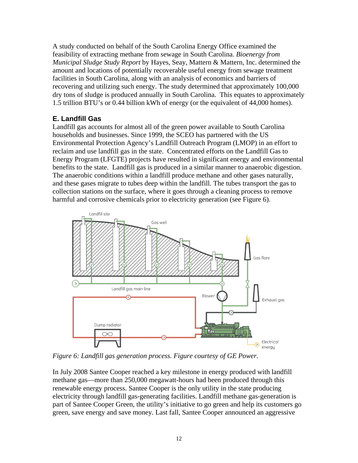A study conducted on behalf of the South Carolina Energy Office examined the feasibility of extracting methane from sewage in South Carolina. *Bioenergy from Municipal Sludge Study Report* by Hayes, Seay, Mattern & Mattern, Inc. determined the amount and locations of potentially recoverable useful energy from sewage treatment facilities in South Carolina, along with an analysis of economics and barriers of recovering and utilizing such energy. The study determined that approximately 100,000 dry tons of sludge is produced annually in South Carolina. This equates to approximately 1.5 trillion BTU's or 0.44 billion kWh of energy (or the equivalent of 44,000 homes).

### **E. Landfill Gas**

Landfill gas accounts for almost all of the green power available to South Carolina households and businesses. Since 1999, the SCEO has partnered with the US Environmental Protection Agency's Landfill Outreach Program (LMOP) in an effort to reclaim and use landfill gas in the state. Concentrated efforts on the Landfill Gas to Energy Program (LFGTE) projects have resulted in significant energy and environmental benefits to the state. Landfill gas is produced in a similar manner to anaerobic digestion. The anaerobic conditions within a landfill produce methane and other gases naturally, and these gases migrate to tubes deep within the landfill. The tubes transport the gas to collection stations on the surface, where it goes through a cleaning process to remove harmful and corrosive chemicals prior to electricity generation (see Figure 6).



*Figure 6: Landfill gas generation process. Figure courtesy of GE Power.* 

In July 2008 Santee Cooper reached a key milestone in energy produced with landfill methane gas—more than 250,000 megawatt-hours had been produced through this renewable energy process. Santee Cooper is the only utility in the state producing electricity through landfill gas-generating facilities. Landfill methane gas-generation is part of Santee Cooper Green, the utility's initiative to go green and help its customers go green, save energy and save money. Last fall, Santee Cooper announced an aggressive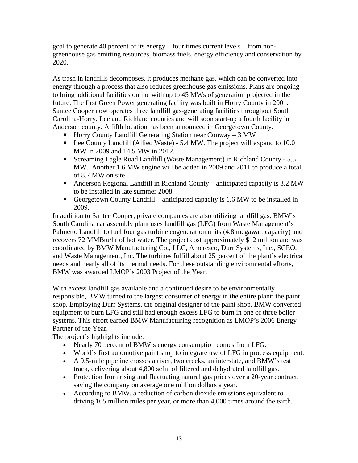goal to generate 40 percent of its energy – four times current levels – from nongreenhouse gas emitting resources, biomass fuels, energy efficiency and conservation by 2020.

As trash in landfills decomposes, it produces methane gas, which can be converted into energy through a process that also reduces greenhouse gas emissions. Plans are ongoing to bring additional facilities online with up to 45 MWs of generation projected in the future. The first Green Power generating facility was built in Horry County in 2001. Santee Cooper now operates three landfill gas-generating facilities throughout South Carolina-Horry, Lee and Richland counties and will soon start-up a fourth facility in Anderson county. A fifth location has been announced in Georgetown County.

- Horry County Landfill Generating Station near Conway  $-3$  MW
- Lee County Landfill (Allied Waste) 5.4 MW. The project will expand to 10.0 MW in 2009 and 14.5 MW in 2012.
- Screaming Eagle Road Landfill (Waste Management) in Richland County 5.5 MW. Another 1.6 MW engine will be added in 2009 and 2011 to produce a total of 8.7 MW on site.
- Anderson Regional Landfill in Richland County anticipated capacity is 3.2 MW to be installed in late summer 2008.
- Georgetown County Landfill anticipated capacity is 1.6 MW to be installed in 2009.

In addition to Santee Cooper, private companies are also utilizing landfill gas. BMW's South Carolina car assembly plant uses landfill gas (LFG) from Waste Management's Palmetto Landfill to fuel four gas turbine cogeneration units (4.8 megawatt capacity) and recovers 72 MMBtu/hr of hot water. The project cost approximately \$12 million and was coordinated by BMW Manufacturing Co., LLC, Ameresco, Durr Systems, Inc., SCEO, and Waste Management, Inc. The turbines fulfill about 25 percent of the plant's electrical needs and nearly all of its thermal needs. For these outstanding environmental efforts, BMW was awarded LMOP's 2003 Project of the Year.

With excess landfill gas available and a continued desire to be environmentally responsible, BMW turned to the largest consumer of energy in the entire plant: the paint shop. Employing Durr Systems, the original designer of the paint shop, BMW converted equipment to burn LFG and still had enough excess LFG to burn in one of three boiler systems. This effort earned BMW Manufacturing recognition as LMOP's 2006 Energy Partner of the Year.

The project's highlights include:

- Nearly 70 percent of BMW's energy consumption comes from LFG.
- World's first automotive paint shop to integrate use of LFG in process equipment.
- A 9.5-mile pipeline crosses a river, two creeks, an interstate, and BMW's test track, delivering about 4,800 scfm of filtered and dehydrated landfill gas.
- Protection from rising and fluctuating natural gas prices over a 20-year contract, saving the company on average one million dollars a year.
- According to BMW, a reduction of carbon dioxide emissions equivalent to driving 105 million miles per year, or more than 4,000 times around the earth.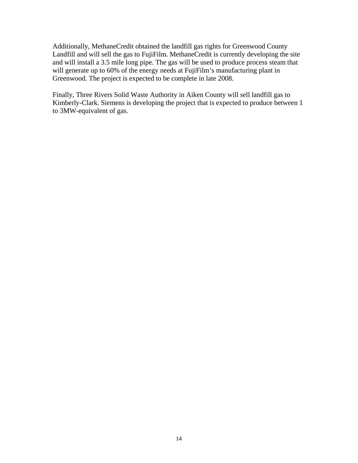Additionally, MethaneCredit obtained the landfill gas rights for Greenwood County Landfill and will sell the gas to FujiFilm. MethaneCredit is currently developing the site and will install a 3.5 mile long pipe. The gas will be used to produce process steam that will generate up to 60% of the energy needs at FujiFilm's manufacturing plant in Greenwood. The project is expected to be complete in late 2008.

Finally, Three Rivers Solid Waste Authority in Aiken County will sell landfill gas to Kimberly-Clark. Siemens is developing the project that is expected to produce between 1 to 3MW-equivalent of gas.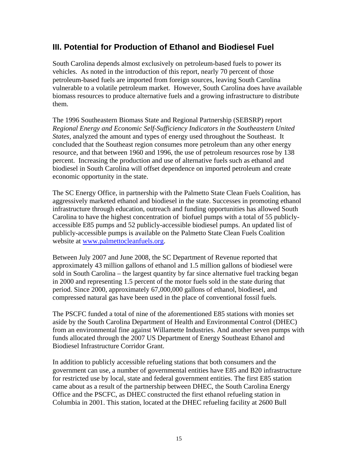## **III. Potential for Production of Ethanol and Biodiesel Fuel**

South Carolina depends almost exclusively on petroleum-based fuels to power its vehicles. As noted in the introduction of this report, nearly 70 percent of those petroleum-based fuels are imported from foreign sources, leaving South Carolina vulnerable to a volatile petroleum market. However, South Carolina does have available biomass resources to produce alternative fuels and a growing infrastructure to distribute them.

The 1996 Southeastern Biomass State and Regional Partnership (SEBSRP) report *Regional Energy and Economic Self-Sufficiency Indicators in the Southeastern United States,* analyzed the amount and types of energy used throughout the Southeast. It concluded that the Southeast region consumes more petroleum than any other energy resource, and that between 1960 and 1996, the use of petroleum resources rose by 138 percent. Increasing the production and use of alternative fuels such as ethanol and biodiesel in South Carolina will offset dependence on imported petroleum and create economic opportunity in the state.

The SC Energy Office, in partnership with the Palmetto State Clean Fuels Coalition, has aggressively marketed ethanol and biodiesel in the state. Successes in promoting ethanol infrastructure through education, outreach and funding opportunities has allowed South Carolina to have the highest concentration of biofuel pumps with a total of 55 publiclyaccessible E85 pumps and 52 publicly-accessible biodiesel pumps. An updated list of publicly-accessible pumps is available on the Palmetto State Clean Fuels Coalition website at [www.palmettocleanfuels.org](http://www.palmettocleanfuels.org/).

Between July 2007 and June 2008, the SC Department of Revenue reported that approximately 43 million gallons of ethanol and 1.5 million gallons of biodiesel were sold in South Carolina – the largest quantity by far since alternative fuel tracking began in 2000 and representing 1.5 percent of the motor fuels sold in the state during that period. Since 2000, approximately 67,000,000 gallons of ethanol, biodiesel, and compressed natural gas have been used in the place of conventional fossil fuels.

The PSCFC funded a total of nine of the aforementioned E85 stations with monies set aside by the South Carolina Department of Health and Environmental Control (DHEC) from an environmental fine against Willamette Industries. And another seven pumps with funds allocated through the 2007 US Department of Energy Southeast Ethanol and Biodiesel Infrastructure Corridor Grant.

In addition to publicly accessible refueling stations that both consumers and the government can use, a number of governmental entities have E85 and B20 infrastructure for restricted use by local, state and federal government entities. The first E85 station came about as a result of the partnership between DHEC, the South Carolina Energy Office and the PSCFC, as DHEC constructed the first ethanol refueling station in Columbia in 2001. This station, located at the DHEC refueling facility at 2600 Bull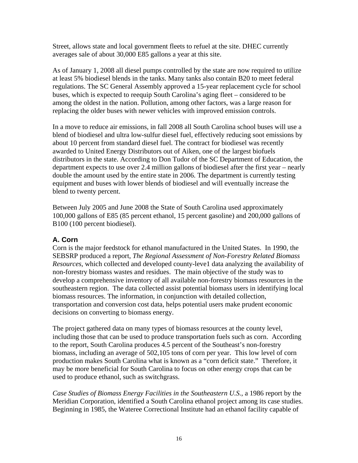Street, allows state and local government fleets to refuel at the site. DHEC currently averages sale of about 30,000 E85 gallons a year at this site.

As of January 1, 2008 all diesel pumps controlled by the state are now required to utilize at least 5% biodiesel blends in the tanks. Many tanks also contain B20 to meet federal regulations. The SC General Assembly approved a 15-year replacement cycle for school buses, which is expected to reequip South Carolina's aging fleet – considered to be among the oldest in the nation. Pollution, among other factors, was a large reason for replacing the older buses with newer vehicles with improved emission controls.

In a move to reduce air emissions, in fall 2008 all South Carolina school buses will use a blend of biodiesel and ultra low-sulfur diesel fuel, effectively reducing soot emissions by about 10 percent from standard diesel fuel. The contract for biodiesel was recently awarded to United Energy Distributors out of Aiken, one of the largest biofuels distributors in the state. According to Don Tudor of the SC Department of Education, the department expects to use over 2.4 million gallons of biodiesel after the first year – nearly double the amount used by the entire state in 2006. The department is currently testing equipment and buses with lower blends of biodiesel and will eventually increase the blend to twenty percent.

Between July 2005 and June 2008 the State of South Carolina used approximately 100,000 gallons of E85 (85 percent ethanol, 15 percent gasoline) and 200,000 gallons of B100 (100 percent biodiesel).

### **A. Corn**

Corn is the major feedstock for ethanol manufactured in the United States. In 1990, the SEBSRP produced a report, *The Regional Assessment of Non-Forestry Related Biomass Resources*, which collected and developed county-leve1 data analyzing the availability of non-forestry biomass wastes and residues. The main objective of the study was to develop a comprehensive inventory of all available non-forestry biomass resources in the southeastern region. The data collected assist potential biomass users in identifying local biomass resources. The information, in conjunction with detailed collection, transportation and conversion cost data, helps potential users make prudent economic decisions on converting to biomass energy.

The project gathered data on many types of biomass resources at the county level, including those that can be used to produce transportation fuels such as corn. According to the report, South Carolina produces 4.5 percent of the Southeast's non-forestry biomass, including an average of 502,105 tons of corn per year. This low level of corn production makes South Carolina what is known as a "corn deficit state." Therefore, it may be more beneficial for South Carolina to focus on other energy crops that can be used to produce ethanol, such as switchgrass.

*Case Studies of Biomass Energy Facilities in the Southeastern U.S.*, a 1986 report by the Meridian Corporation, identified a South Carolina ethanol project among its case studies. Beginning in 1985, the Wateree Correctional Institute had an ethanol facility capable of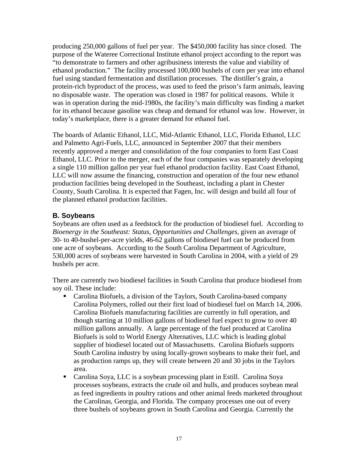producing 250,000 gallons of fuel per year. The \$450,000 facility has since closed. The purpose of the Wateree Correctional Institute ethanol project according to the report was "to demonstrate to farmers and other agribusiness interests the value and viability of ethanol production." The facility processed 100,000 bushels of corn per year into ethanol fuel using standard fermentation and distillation processes. The distiller's grain, a protein-rich byproduct of the process, was used to feed the prison's farm animals, leaving no disposable waste. The operation was closed in 1987 for political reasons. While it was in operation during the mid-1980s, the facility's main difficulty was finding a market for its ethanol because gasoline was cheap and demand for ethanol was low. However, in today's marketplace, there is a greater demand for ethanol fuel.

The boards of Atlantic Ethanol, LLC, Mid-Atlantic Ethanol, LLC, Florida Ethanol, LLC and Palmetto Agri-Fuels, LLC, announced in September 2007 that their members recently approved a merger and consolidation of the four companies to form East Coast Ethanol, LLC. Prior to the merger, each of the four companies was separately developing a single 110 million gallon per year fuel ethanol production facility. East Coast Ethanol, LLC will now assume the financing, construction and operation of the four new ethanol production facilities being developed in the Southeast, including a plant in Chester County, South Carolina. It is expected that Fagen, Inc. will design and build all four of the planned ethanol production facilities.

### **B. Soybeans**

Soybeans are often used as a feedstock for the production of biodiesel fuel. According to *Bioenergy in the Southeast: Status, Opportunities and Challenges*, given an average of 30- to 40-bushel-per-acre yields, 46-62 gallons of biodiesel fuel can be produced from one acre of soybeans. According to the South Carolina Department of Agriculture, 530,000 acres of soybeans were harvested in South Carolina in 2004, with a yield of 29 bushels per acre.

There are currently two biodiesel facilities in South Carolina that produce biodiesel from soy oil. These include:

- Carolina Biofuels, a division of the Taylors, South Carolina-based company Carolina Polymers, rolled out their first load of biodiesel fuel on March 14, 2006. Carolina Biofuels manufacturing facilities are currently in full operation, and though starting at 10 million gallons of biodiesel fuel expect to grow to over 40 million gallons annually. A large percentage of the fuel produced at Carolina Biofuels is sold to World Energy Alternatives, LLC which is leading global supplier of biodiesel located out of Massachusetts. Carolina Biofuels supports South Carolina industry by using locally-grown soybeans to make their fuel, and as production ramps up, they will create between 20 and 30 jobs in the Taylors area.
- Carolina Soya, LLC is a soybean processing plant in Estill. Carolina Soya processes soybeans, extracts the crude oil and hulls, and produces soybean meal as feed ingredients in poultry rations and other animal feeds marketed throughout the Carolinas, Georgia, and Florida. The company processes one out of every three bushels of soybeans grown in South Carolina and Georgia. Currently the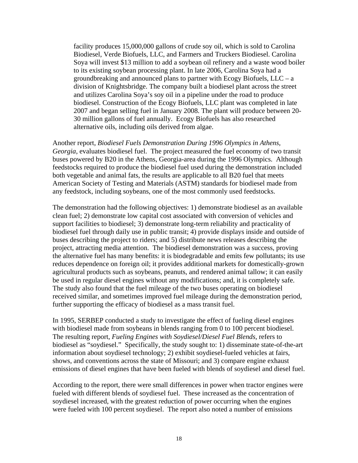facility produces 15,000,000 gallons of crude soy oil, which is sold to Carolina Biodiesel, Verde Biofuels, LLC, and Farmers and Truckers Biodiesel. Carolina Soya will invest \$13 million to add a soybean oil refinery and a waste wood boiler to its existing soybean processing plant. In late 2006, Carolina Soya had a groundbreaking and announced plans to partner with Ecogy Biofuels,  $LLC - a$ division of Knightsbridge. The company built a biodiesel plant across the street and utilizes Carolina Soya's soy oil in a pipeline under the road to produce biodiesel. Construction of the Ecogy Biofuels, LLC plant was completed in late 2007 and began selling fuel in January 2008. The plant will produce between 20- 30 million gallons of fuel annually. Ecogy Biofuels has also researched alternative oils, including oils derived from algae.

Another report, *Biodiesel Fuels Demonstration During 1996 Olympics in Athens, Georgia*, evaluates biodiesel fuel. The project measured the fuel economy of two transit buses powered by B20 in the Athens, Georgia-area during the 1996 Olympics. Although feedstocks required to produce the biodiesel fuel used during the demonstration included both vegetable and animal fats, the results are applicable to all B20 fuel that meets American Society of Testing and Materials (ASTM) standards for biodiesel made from any feedstock, including soybeans, one of the most commonly used feedstocks.

The demonstration had the following objectives: 1) demonstrate biodiesel as an available clean fuel; 2) demonstrate low capital cost associated with conversion of vehicles and support facilities to biodiesel; 3) demonstrate long-term reliability and practicality of biodiesel fuel through daily use in public transit; 4) provide displays inside and outside of buses describing the project to riders; and 5) distribute news releases describing the project, attracting media attention. The biodiesel demonstration was a success, proving the alternative fuel has many benefits: it is biodegradable and emits few pollutants; its use reduces dependence on foreign oil; it provides additional markets for domestically-grown agricultural products such as soybeans, peanuts, and rendered animal tallow; it can easily be used in regular diesel engines without any modifications; and, it is completely safe. The study also found that the fuel mileage of the two buses operating on biodiesel received similar, and sometimes improved fuel mileage during the demonstration period, further supporting the efficacy of biodiesel as a mass transit fuel.

In 1995, SERBEP conducted a study to investigate the effect of fueling diesel engines with biodiesel made from soybeans in blends ranging from 0 to 100 percent biodiesel. The resulting report, *Fueling Engines with Soydiesel/Diesel Fuel Blends,* refers to biodiesel as "soydiesel." Specifically, the study sought to: 1) disseminate state-of-the-art information about soydiesel technology; 2) exhibit soydiesel-fueled vehicles at fairs, shows, and conventions across the state of Missouri; and 3) compare engine exhaust emissions of diesel engines that have been fueled with blends of soydiesel and diesel fuel.

According to the report, there were small differences in power when tractor engines were fueled with different blends of soydiesel fuel. These increased as the concentration of soydiesel increased, with the greatest reduction of power occurring when the engines were fueled with 100 percent soydiesel. The report also noted a number of emissions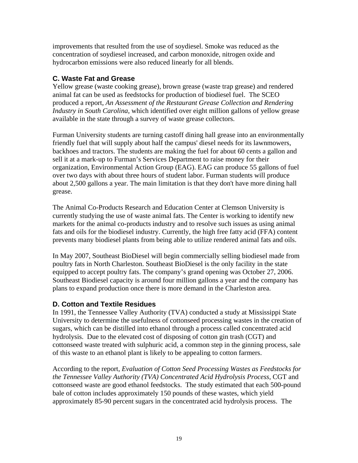improvements that resulted from the use of soydiesel. Smoke was reduced as the concentration of soydiesel increased, and carbon monoxide, nitrogen oxide and hydrocarbon emissions were also reduced linearly for all blends.

### **C. Waste Fat and Grease**

Yellow grease (waste cooking grease), brown grease (waste trap grease) and rendered animal fat can be used as feedstocks for production of biodiesel fuel. The SCEO produced a report, *An Assessment of the Restaurant Grease Collection and Rendering Industry in South Carolina*, which identified over eight million gallons of yellow grease available in the state through a survey of waste grease collectors.

Furman University students are turning castoff dining hall grease into an environmentally friendly fuel that will supply about half the campus' diesel needs for its lawnmowers, backhoes and tractors. The students are making the fuel for about 60 cents a gallon and sell it at a mark-up to Furman's Services Department to raise money for their organization, Environmental Action Group (EAG). EAG can produce 55 gallons of fuel over two days with about three hours of student labor. Furman students will produce about 2,500 gallons a year. The main limitation is that they don't have more dining hall grease.

The Animal Co-Products Research and Education Center at Clemson University is currently studying the use of waste animal fats. The Center is working to identify new markets for the animal co-products industry and to resolve such issues as using animal fats and oils for the biodiesel industry. Currently, the high free fatty acid (FFA) content prevents many biodiesel plants from being able to utilize rendered animal fats and oils.

In May 2007, Southeast BioDiesel will begin commercially selling biodiesel made from poultry fats in North Charleston. Southeast BioDiesel is the only facility in the state equipped to accept poultry fats. The company's grand opening was October 27, 2006. Southeast Biodiesel capacity is around four million gallons a year and the company has plans to expand production once there is more demand in the Charleston area.

#### **D. Cotton and Textile Residues**

In 1991, the Tennessee Valley Authority (TVA) conducted a study at Mississippi State University to determine the usefulness of cottonseed processing wastes in the creation of sugars, which can be distilled into ethanol through a process called concentrated acid hydrolysis. Due to the elevated cost of disposing of cotton gin trash (CGT) and cottonseed waste treated with sulphuric acid, a common step in the ginning process, sale of this waste to an ethanol plant is likely to be appealing to cotton farmers.

According to the report, *Evaluation of Cotton Seed Processing Wastes as Feedstocks for the Tennessee Valley Authority (TVA) Concentrated Acid Hydrolysis Process*, CGT and cottonseed waste are good ethanol feedstocks. The study estimated that each 500-pound bale of cotton includes approximately 150 pounds of these wastes, which yield approximately 85-90 percent sugars in the concentrated acid hydrolysis process. The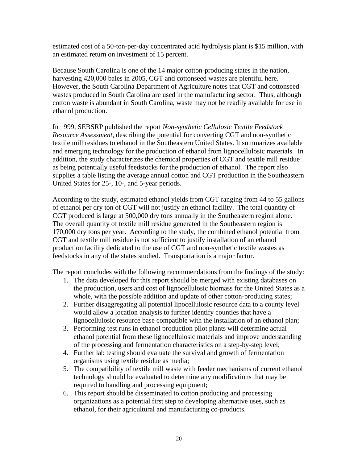estimated cost of a 50-ton-per-day concentrated acid hydrolysis plant is \$15 million, with an estimated return on investment of 15 percent.

Because South Carolina is one of the 14 major cotton-producing states in the nation, harvesting 420,000 bales in 2005, CGT and cottonseed wastes are plentiful here. However, the South Carolina Department of Agriculture notes that CGT and cottonseed wastes produced in South Carolina are used in the manufacturing sector. Thus, although cotton waste is abundant in South Carolina, waste may not be readily available for use in ethanol production.

In 1999, SEBSRP published the report *Non-synthetic Cellulosic Textile Feedstock Resource Assessment*, describing the potential for converting CGT and non-synthetic textile mill residues to ethanol in the Southeastern United States. It summarizes available and emerging technology for the production of ethanol from lignocellulosic materials. In addition, the study characterizes the chemical properties of CGT and textile mill residue as being potentially useful feedstocks for the production of ethanol. The report also supplies a table listing the average annual cotton and CGT production in the Southeastern United States for 25-, 10-, and 5-year periods.

According to the study, estimated ethanol yields from CGT ranging from 44 to 55 gallons of ethanol per dry ton of CGT will not justify an ethanol facility. The total quantity of CGT produced is large at 500,000 dry tons annually in the Southeastern region alone. The overall quantity of textile mill residue generated in the Southeastern region is 170,000 dry tons per year. According to the study, the combined ethanol potential from CGT and textile mill residue is not sufficient to justify installation of an ethanol production facility dedicated to the use of CGT and non-synthetic textile wastes as feedstocks in any of the states studied. Transportation is a major factor.

The report concludes with the following recommendations from the findings of the study:

- 1. The data developed for this report should be merged with existing databases on the production, users and cost of lignocellulosic biomass for the United States as a whole, with the possible addition and update of other cotton-producing states;
- 2. Further disaggregating all potential lipocellulosic resource data to a county level would allow a location analysis to further identify counties that have a lignocellulosic resource base compatible with the installation of an ethanol plan;
- 3. Performing test runs in ethanol production pilot plants will determine actual ethanol potential from these lignocellulosic materials and improve understanding of the processing and fermentation characteristics on a step-by-step level;
- 4. Further lab testing should evaluate the survival and growth of fermentation organisms using textile residue as media;
- 5. The compatibility of textile mill waste with feeder mechanisms of current ethanol technology should be evaluated to determine any modifications that may be required to handling and processing equipment;
- 6. This report should be disseminated to cotton producing and processing organizations as a potential first step to developing alternative uses, such as ethanol, for their agricultural and manufacturing co-products.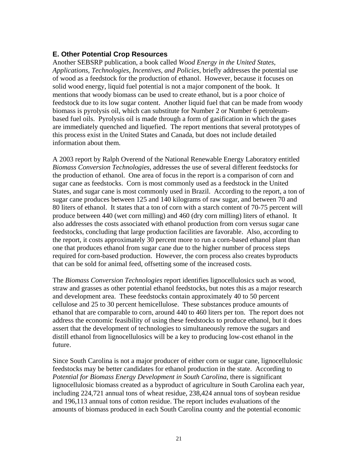#### **E. Other Potential Crop Resources**

Another SEBSRP publication, a book called *Wood Energy in the United States, Applications, Technologies, Incentives, and Policies*, briefly addresses the potential use of wood as a feedstock for the production of ethanol. However, because it focuses on solid wood energy, liquid fuel potential is not a major component of the book. It mentions that woody biomass can be used to create ethanol, but is a poor choice of feedstock due to its low sugar content. Another liquid fuel that can be made from woody biomass is pyrolysis oil, which can substitute for Number 2 or Number 6 petroleumbased fuel oils. Pyrolysis oil is made through a form of gasification in which the gases are immediately quenched and liquefied. The report mentions that several prototypes of this process exist in the United States and Canada, but does not include detailed information about them.

A 2003 report by Ralph Overend of the National Renewable Energy Laboratory entitled *Biomass Conversion Technologies*, addresses the use of several different feedstocks for the production of ethanol. One area of focus in the report is a comparison of corn and sugar cane as feedstocks. Corn is most commonly used as a feedstock in the United States, and sugar cane is most commonly used in Brazil. According to the report, a ton of sugar cane produces between 125 and 140 kilograms of raw sugar, and between 70 and 80 liters of ethanol. It states that a ton of corn with a starch content of 70-75 percent will produce between 440 (wet corn milling) and 460 (dry corn milling) liters of ethanol. It also addresses the costs associated with ethanol production from corn versus sugar cane feedstocks, concluding that large production facilities are favorable. Also, according to the report, it costs approximately 30 percent more to run a corn-based ethanol plant than one that produces ethanol from sugar cane due to the higher number of process steps required for corn-based production. However, the corn process also creates byproducts that can be sold for animal feed, offsetting some of the increased costs.

The *Biomass Conversion Technologies* report identifies lignocellulosics such as wood, straw and grasses as other potential ethanol feedstocks, but notes this as a major research and development area. These feedstocks contain approximately 40 to 50 percent cellulose and 25 to 30 percent hemicellulose. These substances produce amounts of ethanol that are comparable to corn, around 440 to 460 liters per ton. The report does not address the economic feasibility of using these feedstocks to produce ethanol, but it does assert that the development of technologies to simultaneously remove the sugars and distill ethanol from lignocellulosics will be a key to producing low-cost ethanol in the future.

Since South Carolina is not a major producer of either corn or sugar cane, lignocellulosic feedstocks may be better candidates for ethanol production in the state. According to *Potential for Biomass Energy Development in South Carolina*, there is significant lignocellulosic biomass created as a byproduct of agriculture in South Carolina each year, including 224,721 annual tons of wheat residue, 238,424 annual tons of soybean residue and 196,113 annual tons of cotton residue. The report includes evaluations of the amounts of biomass produced in each South Carolina county and the potential economic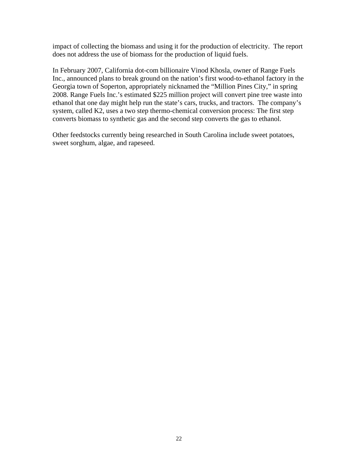impact of collecting the biomass and using it for the production of electricity. The report does not address the use of biomass for the production of liquid fuels.

In February 2007, California dot-com billionaire Vinod Khosla, owner of Range Fuels Inc., announced plans to break ground on the nation's first wood-to-ethanol factory in the Georgia town of Soperton, appropriately nicknamed the "Million Pines City," in spring 2008. Range Fuels Inc.'s estimated \$225 million project will convert pine tree waste into ethanol that one day might help run the state's cars, trucks, and tractors. The company's system, called K2, uses a two step thermo-chemical conversion process: The first step converts biomass to synthetic gas and the second step converts the gas to ethanol.

Other feedstocks currently being researched in South Carolina include sweet potatoes, sweet sorghum, algae, and rapeseed.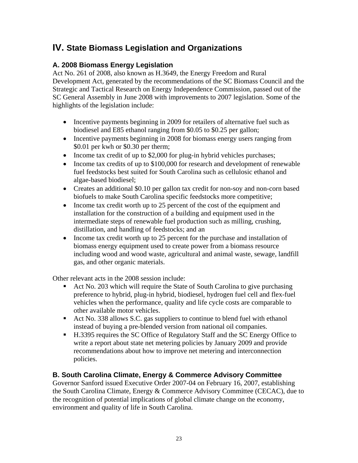# **IV. State Biomass Legislation and Organizations**

### **A. 2008 Biomass Energy Legislation**

Act No. 261 of 2008, also known as H.3649, the Energy Freedom and Rural Development Act, generated by the recommendations of the SC Biomass Council and the Strategic and Tactical Research on Energy Independence Commission, passed out of the SC General Assembly in June 2008 with improvements to 2007 legislation. Some of the highlights of the legislation include:

- Incentive payments beginning in 2009 for retailers of alternative fuel such as biodiesel and E85 ethanol ranging from \$0.05 to \$0.25 per gallon;
- Incentive payments beginning in 2008 for biomass energy users ranging from \$0.01 per kwh or \$0.30 per therm;
- Income tax credit of up to \$2,000 for plug-in hybrid vehicles purchases;
- Income tax credits of up to \$100,000 for research and development of renewable fuel feedstocks best suited for South Carolina such as cellulosic ethanol and algae-based biodiesel;
- Creates an additional \$0.10 per gallon tax credit for non-soy and non-corn based biofuels to make South Carolina specific feedstocks more competitive;
- Income tax credit worth up to 25 percent of the cost of the equipment and installation for the construction of a building and equipment used in the intermediate steps of renewable fuel production such as milling, crushing, distillation, and handling of feedstocks; and an
- Income tax credit worth up to 25 percent for the purchase and installation of biomass energy equipment used to create power from a biomass resource including wood and wood waste, agricultural and animal waste, sewage, landfill gas, and other organic materials.

Other relevant acts in the 2008 session include:

- Act No. 203 which will require the State of South Carolina to give purchasing preference to hybrid, plug-in hybrid, biodiesel, hydrogen fuel cell and flex-fuel vehicles when the performance, quality and life cycle costs are comparable to other available motor vehicles.
- Act No. 338 allows S.C. gas suppliers to continue to blend fuel with ethanol instead of buying a pre-blended version from national oil companies.
- H.3395 requires the SC Office of Regulatory Staff and the SC Energy Office to write a report about state net metering policies by January 2009 and provide recommendations about how to improve net metering and interconnection policies.

### **B. South Carolina Climate, Energy & Commerce Advisory Committee**

Governor Sanford issued Executive Order 2007-04 on February 16, 2007, establishing the South Carolina Climate, Energy & Commerce Advisory Committee (CECAC), due to the recognition of potential implications of global climate change on the economy, environment and quality of life in South Carolina.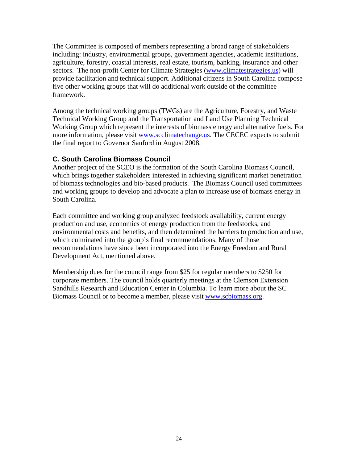The Committee is composed of members representing a broad range of stakeholders including: industry, environmental groups, government agencies, academic institutions, agriculture, forestry, coastal interests, real estate, tourism, banking, insurance and other sectors. The non-profit Center for Climate Strategies [\(www.climatestrategies.us](http://www.climatestrategies.us/)) will provide facilitation and technical support. Additional citizens in South Carolina compose five other working groups that will do additional work outside of the committee framework.

Among the technical working groups (TWGs) are the Agriculture, Forestry, and Waste Technical Working Group and the Transportation and Land Use Planning Technical Working Group which represent the interests of biomass energy and alternative fuels. For more information, please visit [www.scclimatechange.us.](http://www.scclimatechange.us/) The CECEC expects to submit the final report to Governor Sanford in August 2008.

### **C. South Carolina Biomass Council**

Another project of the SCEO is the formation of the South Carolina Biomass Council, which brings together stakeholders interested in achieving significant market penetration of biomass technologies and bio-based products. The Biomass Council used committees and working groups to develop and advocate a plan to increase use of biomass energy in South Carolina.

Each committee and working group analyzed feedstock availability, current energy production and use, economics of energy production from the feedstocks, and environmental costs and benefits, and then determined the barriers to production and use, which culminated into the group's final recommendations. Many of those recommendations have since been incorporated into the Energy Freedom and Rural Development Act, mentioned above.

Membership dues for the council range from \$25 for regular members to \$250 for corporate members. The council holds quarterly meetings at the Clemson Extension Sandhills Research and Education Center in Columbia. To learn more about the SC Biomass Council or to become a member, please visit [www.scbiomass.org.](http://www.scbiomass.org/)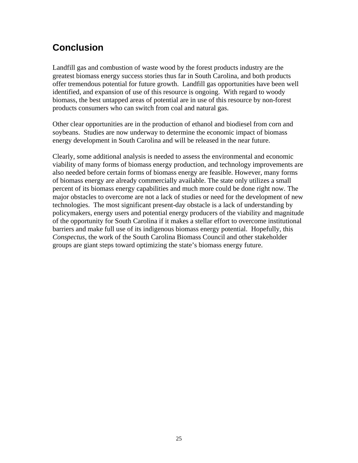# **Conclusion**

Landfill gas and combustion of waste wood by the forest products industry are the greatest biomass energy success stories thus far in South Carolina, and both products offer tremendous potential for future growth. Landfill gas opportunities have been well identified, and expansion of use of this resource is ongoing. With regard to woody biomass, the best untapped areas of potential are in use of this resource by non-forest products consumers who can switch from coal and natural gas.

Other clear opportunities are in the production of ethanol and biodiesel from corn and soybeans. Studies are now underway to determine the economic impact of biomass energy development in South Carolina and will be released in the near future.

Clearly, some additional analysis is needed to assess the environmental and economic viability of many forms of biomass energy production, and technology improvements are also needed before certain forms of biomass energy are feasible. However, many forms of biomass energy are already commercially available. The state only utilizes a small percent of its biomass energy capabilities and much more could be done right now. The major obstacles to overcome are not a lack of studies or need for the development of new technologies. The most significant present-day obstacle is a lack of understanding by policymakers, energy users and potential energy producers of the viability and magnitude of the opportunity for South Carolina if it makes a stellar effort to overcome institutional barriers and make full use of its indigenous biomass energy potential. Hopefully, this *Conspectus*, the work of the South Carolina Biomass Council and other stakeholder groups are giant steps toward optimizing the state's biomass energy future.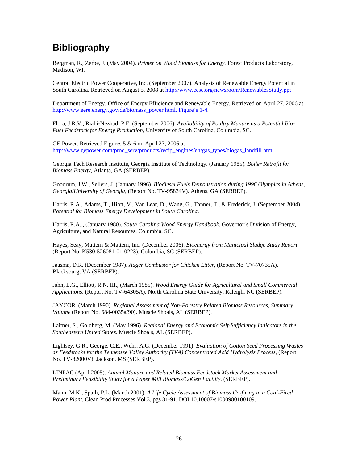# **Bibliography**

Bergman, R., Zerbe, J. (May 2004). *Primer on Wood Biomass for Energy.* Forest Products Laboratory*,*  Madison, WI.

Central Electric Power Cooperative, Inc. (September 2007). Analysis of Renewable Energy Potential in South Carolina. Retrieved on August 5, 2008 at <http://www.ecsc.org/newsroom/RenewablesStudy.ppt>

Department of Energy, Office of Energy Efficiency and Renewable Energy. Retrieved on April 27, 2006 at [http://www.eere.energy.gov/de/biomass\\_power.html. Figure's 1-4.](http://www.eere.energy.gov/de/biomass_power.html. Figure)

Flora, J.R.V., Riahi-Nezhad, P.E. (September 2006). *Availability of Poultry Manure as a Potential Bio-Fuel Feedstock for Energy Production*, University of South Carolina, Columbia, SC.

GE Power. Retrieved Figures 5 & 6 on April 27, 2006 at [http://www.gepower.com/prod\\_serv/products/recip\\_engines/en/gas\\_types/biogas\\_landfill.htm.](http://www.gepower.com/prod_serv/products/recip_engines/en/gas_types/biogas_landfill.htm)

Georgia Tech Research Institute, Georgia Institute of Technology. (January 1985). *Boiler Retrofit for Biomass Energy*, Atlanta, GA (SERBEP).

Goodrum, J.W., Sellers, J. (January 1996). *Biodiesel Fuels Demonstration during 1996 Olympics in Athens, Georgia/University of Georgia,* (Report No. TV-95834V). Athens, GA (SERBEP).

Harris, R.A., Adams, T., Hiott, V., Van Lear, D., Wang, G., Tanner, T., & Frederick, J. (September 2004) *Potential for Biomass Energy Development in South Carolina*.

Harris, R.A.., (January 1980). *South Carolina Wood Energy Handbook*. Governor's Division of Energy, Agriculture, and Natural Resources, Columbia, SC.

Hayes, Seay, Mattern & Mattern, Inc. (December 2006). *Bioenergy from Municipal Sludge Study Report*. (Report No. K530-526081-01-0223), Columbia, SC (SERBEP).

Jaasma, D.R. (December 1987). *Auger Combustor for Chicken Litter*, (Report No. TV-70735A). Blacksburg, VA (SERBEP).

Jahn, L.G., Elliott, R.N. III., (March 1985). *Wood Energy Guide for Agricultural and Small Commercial Applications*. (Report No. TV-64305A). North Carolina State University, Raleigh, NC (SERBEP).

JAYCOR. (March 1990). *Regional Assessment of Non-Forestry Related Biomass Resources*, *Summary Volume* (Report No. 684-0035a/90). Muscle Shoals, AL (SERBEP).

Laitner, S., Goldberg, M. (May 1996). *Regional Energy and Economic Self-Sufficiency Indicators in the Southeastern United States*. Muscle Shoals, AL (SERBEP).

Lightsey, G.R., George, C.E., Wehr, A.G. (December 1991). *Evaluation of Cotton Seed Processing Wastes as Feedstocks for the Tennessee Valley Authority (TVA) Concentrated Acid Hydrolysis Process*, (Report No. TV-82000V). Jackson, MS (SERBEP).

LINPAC (April 2005). *Animal Manure and Related Biomass Feedstock Market Assessment and Preliminary Feasibility Study for a Paper Mill Biomass/CoGen Facility*. (SERBEP).

Mann, M.K., Spath, P.L. (March 2001). *A Life Cycle Assessment of Biomass Co-firing in a Coal-Fired Power Plant.* Clean Prod Processes Vol.3, pgs 81-91. DOI 10.10007/s1000980100109.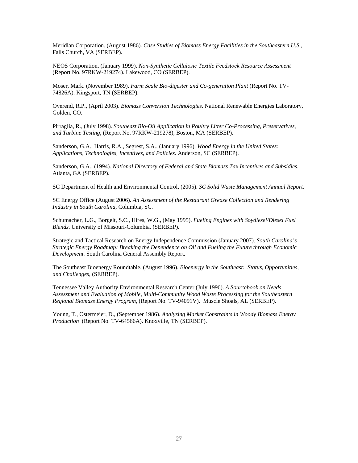Meridian Corporation. (August 1986). *Case Studies of Biomass Energy Facilities in the Southeastern U.S.*, Falls Church, VA (SERBEP).

NEOS Corporation. (January 1999). *Non-Synthetic Cellulosic Textile Feedstock Resource Assessment* (Report No. 97RKW-219274). Lakewood, CO (SERBEP).

Moser, Mark. (November 1989). *Farm Scale Bio-digester and Co-generation Plant* (Report No. TV-74826A). Kingsport, TN (SERBEP).

Overend, R.P., (April 2003). *Biomass Conversion Technologies*. National Renewable Energies Laboratory, Golden, CO.

Pirraglia, R., (July 1998). *Southeast Bio-Oil Application in Poultry Litter Co-Processing, Preservatives, and Turbine Testing*, (Report No. 97RKW-219278), Boston, MA (SERBEP).

Sanderson, G.A., Harris, R.A., Segrest, S.A., (January 1996). *Wood Energy in the United States: Applications, Technologies, Incentives, and Policies.* Anderson, SC (SERBEP).

Sanderson, G.A., (1994). *National Directory of Federal and State Biomass Tax Incentives and Subsidies*. Atlanta, GA (SERBEP).

SC Department of Health and Environmental Control, (2005). *SC Solid Waste Management Annual Report.*

SC Energy Office (August 2006). *An Assessment of the Restaurant Grease Collection and Rendering Industry in South Carolina*, Columbia, SC.

Schumacher, L.G., Borgelt, S.C., Hires, W.G., (May 1995). *Fueling Engines with Soydiesel/Diesel Fuel Blends*. University of Missouri-Columbia, (SERBEP).

Strategic and Tactical Research on Energy Independence Commission (January 2007). *South Carolina's Strategic Energy Roadmap: Breaking the Dependence on Oil and Fueling the Future through Economic Development.* South Carolina General Assembly Report.

The Southeast Bioenergy Roundtable, (August 1996). *Bioenergy in the Southeast: Status, Opportunities, and Challenges*, (SERBEP).

Tennessee Valley Authority Environmental Research Center (July 1996). *A Sourcebook on Needs Assessment and Evaluation of Mobile, Multi-Community Wood Waste Processing for the Southeastern Regional Biomass Energy Program*, (Report No. TV-94091V). Muscle Shoals, AL (SERBEP).

Young, T., Ostermeier, D., (September 1986). *Analyzing Market Constraints in Woody Biomass Energy Production* (Report No. TV-64566A). Knoxville, TN (SERBEP).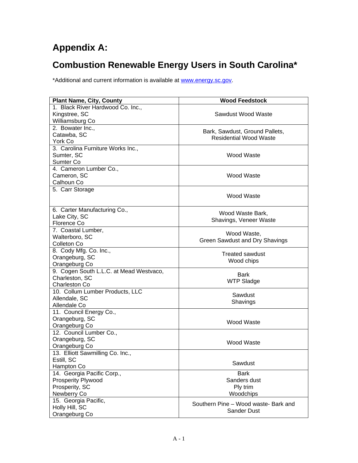# **Appendix A:**

# **Combustion Renewable Energy Users in South Carolina\***

\*Additional and current information is available at www.energy.sc.gov.

| <b>Plant Name, City, County</b>         | <b>Wood Feedstock</b>                |  |
|-----------------------------------------|--------------------------------------|--|
| 1. Black River Hardwood Co. Inc.,       |                                      |  |
| Kingstree, SC                           | Sawdust Wood Waste                   |  |
| Williamsburg Co                         |                                      |  |
| 2. Bowater Inc.,                        |                                      |  |
| Catawba, SC                             | Bark, Sawdust, Ground Pallets,       |  |
| York Co                                 | <b>Residential Wood Waste</b>        |  |
| 3. Carolina Furniture Works Inc.,       |                                      |  |
| Sumter, SC                              | Wood Waste                           |  |
| Sumter Co                               |                                      |  |
| 4. Cameron Lumber Co.,                  |                                      |  |
| Cameron, SC                             | Wood Waste                           |  |
| Calhoun Co                              |                                      |  |
| 5. Carr Storage                         |                                      |  |
|                                         | <b>Wood Waste</b>                    |  |
|                                         |                                      |  |
| 6. Carter Manufacturing Co.,            |                                      |  |
| Lake City, SC                           | Wood Waste Bark,                     |  |
| Florence Co                             | Shavings, Veneer Waste               |  |
| 7. Coastal Lumber,                      |                                      |  |
| Walterboro, SC                          | Wood Waste,                          |  |
| Colleton Co                             | Green Sawdust and Dry Shavings       |  |
| 8. Cody Mfg. Co. Inc.,                  |                                      |  |
| Orangeburg, SC                          | <b>Treated sawdust</b>               |  |
| Orangeburg Co                           | Wood chips                           |  |
| 9. Cogen South L.L.C. at Mead Westvaco, |                                      |  |
| Charleston, SC                          | <b>Bark</b>                          |  |
| Charleston Co                           | <b>WTP Sladge</b>                    |  |
| 10. Collum Lumber Products, LLC         |                                      |  |
| Allendale, SC                           | Sawdust                              |  |
| Allendale Co                            | Shavings                             |  |
| 11. Council Energy Co.,                 |                                      |  |
| Orangeburg, SC                          |                                      |  |
| Orangeburg Co                           | <b>Wood Waste</b>                    |  |
| 12. Council Lumber Co.,                 |                                      |  |
| Orangeburg, SC                          |                                      |  |
| Orangeburg Co                           | Wood Waste                           |  |
| 13. Elliott Sawmilling Co. Inc.,        |                                      |  |
| Estill, SC                              |                                      |  |
| Hampton Co                              | Sawdust                              |  |
| 14. Georgia Pacific Corp.,              | <b>Bark</b>                          |  |
| <b>Prosperity Plywood</b>               | Sanders dust                         |  |
| Prosperity, SC                          |                                      |  |
| Newberry Co                             | Ply trim<br>Woodchips                |  |
|                                         |                                      |  |
| 15. Georgia Pacific,                    | Southern Pine - Wood waste- Bark and |  |
| Holly Hill, SC                          | <b>Sander Dust</b>                   |  |
| Orangeburg Co                           |                                      |  |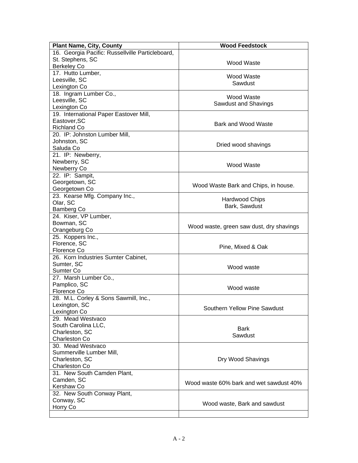| <b>Plant Name, City, County</b>                  | <b>Wood Feedstock</b>                    |  |  |
|--------------------------------------------------|------------------------------------------|--|--|
| 16. Georgia Pacific: Russellville Particleboard, |                                          |  |  |
| St. Stephens, SC                                 |                                          |  |  |
| <b>Berkeley Co</b>                               | Wood Waste                               |  |  |
| 17. Hutto Lumber,                                |                                          |  |  |
| Leesville, SC                                    | <b>Wood Waste</b>                        |  |  |
| Lexington Co                                     | Sawdust                                  |  |  |
| 18. Ingram Lumber Co.,                           |                                          |  |  |
| Leesville, SC                                    | <b>Wood Waste</b>                        |  |  |
| Lexington Co                                     | Sawdust and Shavings                     |  |  |
| 19. International Paper Eastover Mill,           |                                          |  |  |
| Eastover, SC                                     |                                          |  |  |
| <b>Richland Co</b>                               | Bark and Wood Waste                      |  |  |
| 20. IP: Johnston Lumber Mill,                    |                                          |  |  |
| Johnston, SC                                     |                                          |  |  |
| Saluda Co                                        | Dried wood shavings                      |  |  |
| 21. IP: Newberry,                                |                                          |  |  |
| Newberry, SC                                     |                                          |  |  |
| Newberry Co                                      | <b>Wood Waste</b>                        |  |  |
| 22. IP: Sampit,                                  |                                          |  |  |
| Georgetown, SC                                   |                                          |  |  |
| Georgetown Co                                    | Wood Waste Bark and Chips, in house.     |  |  |
| 23. Kearse Mfg. Company Inc.,                    |                                          |  |  |
| Olar, SC                                         | <b>Hardwood Chips</b>                    |  |  |
| <b>Bamberg Co</b>                                | Bark, Sawdust                            |  |  |
| 24. Kiser, VP Lumber,                            |                                          |  |  |
| Bowman, SC                                       |                                          |  |  |
| Orangeburg Co                                    | Wood waste, green saw dust, dry shavings |  |  |
| 25. Koppers Inc.,                                |                                          |  |  |
| Florence, SC                                     |                                          |  |  |
| Florence Co                                      | Pine, Mixed & Oak                        |  |  |
| 26. Korn Industries Sumter Cabinet,              |                                          |  |  |
| Sumter, SC                                       | Wood waste                               |  |  |
| Sumter Co                                        |                                          |  |  |
| 27. Marsh Lumber Co.,                            |                                          |  |  |
| Pamplico, SC                                     | Wood waste                               |  |  |
| Florence Co                                      |                                          |  |  |
| 28. M.L. Corley & Sons Sawmill, Inc.,            |                                          |  |  |
| Lexington, SC                                    | Southern Yellow Pine Sawdust             |  |  |
| Lexington Co                                     |                                          |  |  |
| 29. Mead Westvaco                                |                                          |  |  |
| South Carolina LLC,                              | <b>Bark</b>                              |  |  |
| Charleston, SC                                   | Sawdust                                  |  |  |
| <b>Charleston Co</b>                             |                                          |  |  |
| 30. Mead Westvaco                                |                                          |  |  |
| Summerville Lumber Mill,                         |                                          |  |  |
| Charleston, SC                                   | Dry Wood Shavings                        |  |  |
| Charleston Co                                    |                                          |  |  |
| 31. New South Camden Plant,                      |                                          |  |  |
| Camden, SC                                       | Wood waste 60% bark and wet sawdust 40%  |  |  |
| Kershaw Co                                       |                                          |  |  |
| 32. New South Conway Plant,                      |                                          |  |  |
| Conway, SC                                       | Wood waste, Bark and sawdust             |  |  |
| Horry Co                                         |                                          |  |  |
|                                                  |                                          |  |  |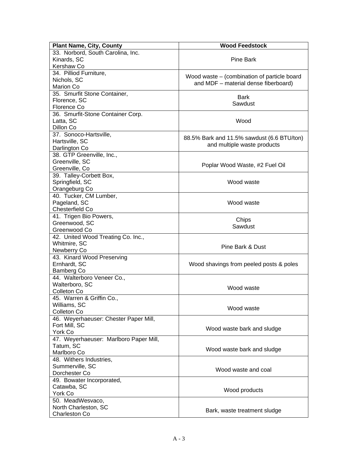| <b>Plant Name, City, County</b>        | <b>Wood Feedstock</b>                       |  |
|----------------------------------------|---------------------------------------------|--|
| 33. Norbord, South Carolina, Inc.      |                                             |  |
| Kinards, SC                            | Pine Bark                                   |  |
| Kershaw Co                             |                                             |  |
| 34. Pilliod Furniture,                 |                                             |  |
| Nichols, SC                            | Wood waste – (combination of particle board |  |
| <b>Marion Co</b>                       | and MDF - material dense fiberboard)        |  |
| 35. Smurfit Stone Container,           |                                             |  |
| Florence, SC                           | <b>Bark</b>                                 |  |
| Florence Co                            | Sawdust                                     |  |
| 36. Smurfit-Stone Container Corp.      |                                             |  |
| Latta, SC                              | Wood                                        |  |
| Dillon Co                              |                                             |  |
| 37. Sonoco-Hartsville,                 |                                             |  |
| Hartsville, SC                         | 88.5% Bark and 11.5% sawdust (6.6 BTU/ton)  |  |
| Darlington Co                          | and multiple waste products                 |  |
| 38. GTP Greenville, Inc.,              |                                             |  |
| Greenville, SC                         |                                             |  |
| Greenville, Co                         | Poplar Wood Waste, #2 Fuel Oil              |  |
| 39. Talley-Corbett Box,                |                                             |  |
| Springfield, SC                        | Wood waste                                  |  |
| Orangeburg Co                          |                                             |  |
| 40. Tucker, CM Lumber,                 |                                             |  |
| Pageland, SC                           | Wood waste                                  |  |
| Chesterfield Co                        |                                             |  |
| 41. Trigen Bio Powers,                 | Chips                                       |  |
| Greenwood, SC                          | Sawdust                                     |  |
| Greenwood Co                           |                                             |  |
| 42. United Wood Treating Co. Inc.,     |                                             |  |
| Whitmire, SC                           | Pine Bark & Dust                            |  |
| Newberry Co                            |                                             |  |
| 43. Kinard Wood Preserving             |                                             |  |
| Ernhardt, SC                           | Wood shavings from peeled posts & poles     |  |
| Bamberg Co                             |                                             |  |
| 44. Walterboro Veneer Co.,             |                                             |  |
| Walterboro, SC                         | Wood waste                                  |  |
| Colleton Co                            |                                             |  |
| 45. Warren & Griffin Co.,              |                                             |  |
| Williams, SC                           | Wood waste                                  |  |
| Colleton Co                            |                                             |  |
| 46. Weyerhaeuser: Chester Paper Mill,  |                                             |  |
| Fort Mill, SC                          | Wood waste bark and sludge                  |  |
| York Co                                |                                             |  |
| 47. Weyerhaeuser: Marlboro Paper Mill, |                                             |  |
| Tatum, SC                              | Wood waste bark and sludge                  |  |
| Marlboro Co                            |                                             |  |
| 48. Withers Industries,                |                                             |  |
| Summerville, SC                        | Wood waste and coal                         |  |
| Dorchester Co                          |                                             |  |
| 49. Bowater Incorporated,              |                                             |  |
| Catawba, SC                            | Wood products                               |  |
| York Co                                |                                             |  |
| 50. MeadWesvaco,                       |                                             |  |
| North Charleston, SC                   | Bark, waste treatment sludge                |  |
| Charleston Co                          |                                             |  |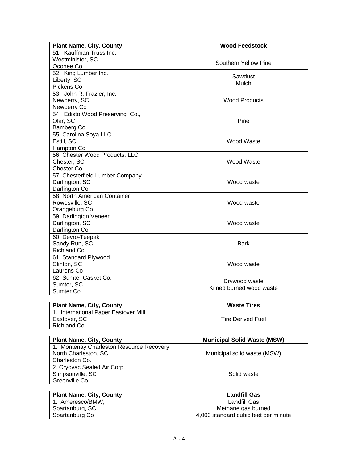| <b>Plant Name, City, County</b>           | <b>Wood Feedstock</b>              |  |  |
|-------------------------------------------|------------------------------------|--|--|
| 51. Kauffman Truss Inc.                   |                                    |  |  |
| Westminister, SC                          |                                    |  |  |
| Oconee Co                                 | Southern Yellow Pine               |  |  |
| 52. King Lumber Inc.,                     |                                    |  |  |
| Liberty, SC                               | Sawdust                            |  |  |
| Pickens Co                                | Mulch                              |  |  |
| 53. John R. Frazier, Inc.                 |                                    |  |  |
| Newberry, SC                              | <b>Wood Products</b>               |  |  |
| Newberry Co                               |                                    |  |  |
| 54. Edisto Wood Preserving Co.,           |                                    |  |  |
| Olar, SC                                  | Pine                               |  |  |
| Bamberg Co                                |                                    |  |  |
| 55. Carolina Soya LLC                     |                                    |  |  |
| Estill, SC                                | Wood Waste                         |  |  |
| Hampton Co                                |                                    |  |  |
| 56. Chester Wood Products, LLC            |                                    |  |  |
| Chester, SC                               | Wood Waste                         |  |  |
| <b>Chester Co</b>                         |                                    |  |  |
| 57. Chesterfield Lumber Company           |                                    |  |  |
| Darlington, SC                            | Wood waste                         |  |  |
| Darlington Co                             |                                    |  |  |
| 58. North American Container              |                                    |  |  |
| Rowesville, SC                            | Wood waste                         |  |  |
| Orangeburg Co                             |                                    |  |  |
| 59. Darlington Veneer                     |                                    |  |  |
| Darlington, SC                            | Wood waste                         |  |  |
| Darlington Co                             |                                    |  |  |
| 60. Devro-Teepak                          |                                    |  |  |
| Sandy Run, SC                             | <b>Bark</b>                        |  |  |
| <b>Richland Co</b>                        |                                    |  |  |
| 61. Standard Plywood                      |                                    |  |  |
| Clinton, SC                               | Wood waste                         |  |  |
| Laurens Co                                |                                    |  |  |
| 62. Sumter Casket Co.                     |                                    |  |  |
| Sumter, SC                                | Drywood waste                      |  |  |
| Sumter Co                                 | Kilned burned wood waste           |  |  |
|                                           |                                    |  |  |
| <b>Plant Name, City, County</b>           | <b>Waste Tires</b>                 |  |  |
| 1. International Paper Eastover Mill,     |                                    |  |  |
| Eastover, SC                              | <b>Tire Derived Fuel</b>           |  |  |
| <b>Richland Co</b>                        |                                    |  |  |
|                                           |                                    |  |  |
| <b>Plant Name, City, County</b>           | <b>Municipal Solid Waste (MSW)</b> |  |  |
| 1. Montenay Charleston Resource Recovery, |                                    |  |  |
| North Charleston, SC                      | Municipal solid waste (MSW)        |  |  |
| Charleston Co.                            |                                    |  |  |
| 2. Cryovac Sealed Air Corp.               |                                    |  |  |
| Simpsonville, SC                          | Solid waste                        |  |  |
| Greenville Co                             |                                    |  |  |
|                                           |                                    |  |  |

| <b>Plant Name, City, County</b> | <b>Landfill Gas</b>                  |
|---------------------------------|--------------------------------------|
| 1. Ameresco/BMW,                | Landfill Gas                         |
| Spartanburg, SC                 | Methane gas burned                   |
| Spartanburg Co                  | 4,000 standard cubic feet per minute |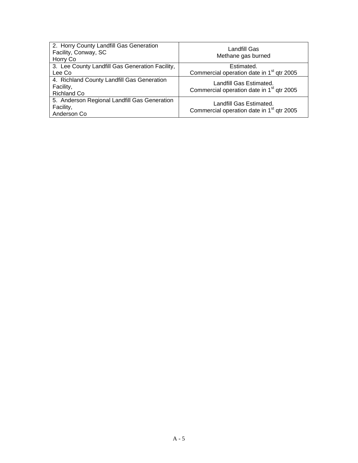| 2. Horry County Landfill Gas Generation<br>Facility, Conway, SC<br>Horry Co   | Landfill Gas<br>Methane gas burned                                               |
|-------------------------------------------------------------------------------|----------------------------------------------------------------------------------|
| 3. Lee County Landfill Gas Generation Facility,                               | Estimated.                                                                       |
| Lee Co                                                                        | Commercial operation date in 1 <sup>st</sup> qtr 2005                            |
| 4. Richland County Landfill Gas Generation<br>Facility,<br><b>Richland Co</b> | Landfill Gas Estimated.<br>Commercial operation date in 1 <sup>st</sup> qtr 2005 |
| 5. Anderson Regional Landfill Gas Generation<br>Facility,<br>Anderson Co      | Landfill Gas Estimated.<br>Commercial operation date in 1 <sup>st</sup> qtr 2005 |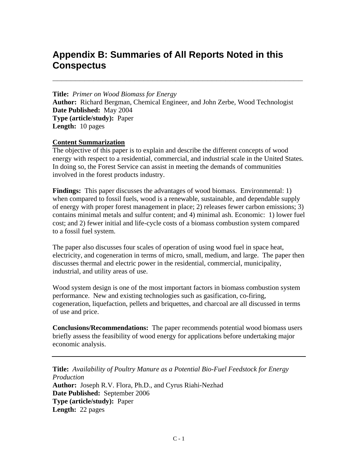# **Appendix B: Summaries of All Reports Noted in this Conspectus**

**Title:** *Primer on Wood Biomass for Energy*  **Author:** Richard Bergman, Chemical Engineer, and John Zerbe, Wood Technologist **Date Published:** May 2004 **Type (article/study):** Paper **Length:** 10 pages

**\_\_\_\_\_\_\_\_\_\_\_\_\_\_\_\_\_\_\_\_\_\_\_\_\_\_\_\_\_\_\_\_\_\_\_\_\_\_\_\_\_\_\_\_\_\_\_\_\_\_\_\_\_\_\_** 

#### **Content Summarization**

The objective of this paper is to explain and describe the different concepts of wood energy with respect to a residential, commercial, and industrial scale in the United States. In doing so, the Forest Service can assist in meeting the demands of communities involved in the forest products industry.

**Findings:** This paper discusses the advantages of wood biomass. Environmental: 1) when compared to fossil fuels, wood is a renewable, sustainable, and dependable supply of energy with proper forest management in place; 2) releases fewer carbon emissions; 3) contains minimal metals and sulfur content; and 4) minimal ash. Economic: 1) lower fuel cost; and 2) fewer initial and life-cycle costs of a biomass combustion system compared to a fossil fuel system.

The paper also discusses four scales of operation of using wood fuel in space heat, electricity, and cogeneration in terms of micro, small, medium, and large. The paper then discusses thermal and electric power in the residential, commercial, municipality, industrial, and utility areas of use.

Wood system design is one of the most important factors in biomass combustion system performance. New and existing technologies such as gasification, co-firing, cogeneration, liquefaction, pellets and briquettes, and charcoal are all discussed in terms of use and price.

**Conclusions/Recommendations:** The paper recommends potential wood biomass users briefly assess the feasibility of wood energy for applications before undertaking major economic analysis.

**Title:** *Availability of Poultry Manure as a Potential Bio-Fuel Feedstock for Energy Production*  **Author:** Joseph R.V. Flora, Ph.D., and Cyrus Riahi-Nezhad **Date Published:** September 2006 **Type (article/study):** Paper **Length:** 22 pages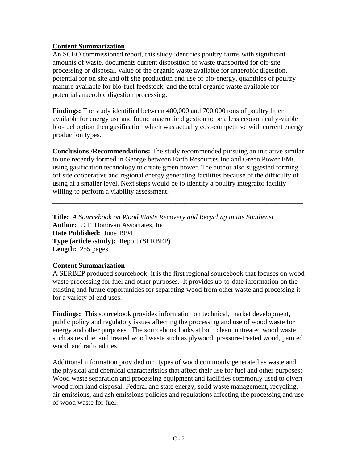#### **Content Summarization**

An SCEO commissioned report, this study identifies poultry farms with significant amounts of waste, documents current disposition of waste transported for off-site processing or disposal, value of the organic waste available for anaerobic digestion, potential for on site and off site production and use of bio-energy, quantities of poultry manure available for bio-fuel feedstock, and the total organic waste available for potential anaerobic digestion processing.

**Findings:** The study identified between 400,000 and 700,000 tons of poultry litter available for energy use and found anaerobic digestion to be a less economically-viable bio-fuel option then gasification which was actually cost-competitive with current energy production types.

**Conclusions /Recommendations:** The study recommended pursuing an initiative similar to one recently formed in George between Earth Resources Inc and Green Power EMC using gasification technology to create green power. The author also suggested forming off site cooperative and regional energy generating facilities because of the difficulty of using at a smaller level. Next steps would be to identify a poultry integrator facility willing to perform a viability assessment.

**\_\_\_\_\_\_\_\_\_\_\_\_\_\_\_\_\_\_\_\_\_\_\_\_\_\_\_\_\_\_\_\_\_\_\_\_\_\_\_\_\_\_\_\_\_\_\_\_\_\_\_\_\_\_\_**

**Title:** *A Sourcebook on Wood Waste Recovery and Recycling in the Southeast* **Author:** C.T. Donovan Associates, Inc. **Date Published:** June 1994 **Type (article /study):** Report (SERBEP) **Length:** 255 pages

#### **Content Summarization**

A SERBEP produced sourcebook; it is the first regional sourcebook that focuses on wood waste processing for fuel and other purposes. It provides up-to-date information on the existing and future opportunities for separating wood from other waste and processing it for a variety of end uses.

**Findings:** This sourcebook provides information on technical, market development, public policy and regulatory issues affecting the processing and use of wood waste for energy and other purposes. The sourcebook looks at both clean, untreated wood waste such as residue, and treated wood waste such as plywood, pressure-treated wood, painted wood, and railroad ties.

Additional information provided on: types of wood commonly generated as waste and the physical and chemical characteristics that affect their use for fuel and other purposes; Wood waste separation and processing equipment and facilities commonly used to divert wood from land disposal; Federal and state energy, solid waste management, recycling, air emissions, and ash emissions policies and regulations affecting the processing and use of wood waste for fuel.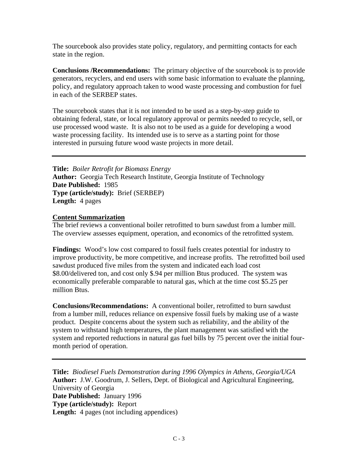The sourcebook also provides state policy, regulatory, and permitting contacts for each state in the region.

**Conclusions /Recommendations:** The primary objective of the sourcebook is to provide generators, recyclers, and end users with some basic information to evaluate the planning, policy, and regulatory approach taken to wood waste processing and combustion for fuel in each of the SERBEP states.

The sourcebook states that it is not intended to be used as a step-by-step guide to obtaining federal, state, or local regulatory approval or permits needed to recycle, sell, or use processed wood waste. It is also not to be used as a guide for developing a wood waste processing facility. Its intended use is to serve as a starting point for those interested in pursuing future wood waste projects in more detail.

**Title:** *Boiler Retrofit for Biomass Energy* **Author:** Georgia Tech Research Institute, Georgia Institute of Technology **Date Published:** 1985 **Type (article/study):** Brief (SERBEP) **Length:** 4 pages

#### **Content Summarization**

The brief reviews a conventional boiler retrofitted to burn sawdust from a lumber mill. The overview assesses equipment, operation, and economics of the retrofitted system.

**Findings:** Wood's low cost compared to fossil fuels creates potential for industry to improve productivity, be more competitive, and increase profits. The retrofitted boil used sawdust produced five miles from the system and indicated each load cost \$8.00/delivered ton, and cost only \$.94 per million Btus produced. The system was economically preferable comparable to natural gas, which at the time cost \$5.25 per million Btus.

**Conclusions/Recommendations:** A conventional boiler, retrofitted to burn sawdust from a lumber mill, reduces reliance on expensive fossil fuels by making use of a waste product. Despite concerns about the system such as reliability, and the ability of the system to withstand high temperatures, the plant management was satisfied with the system and reported reductions in natural gas fuel bills by 75 percent over the initial fourmonth period of operation.

**Title:** *Biodiesel Fuels Demonstration during 1996 Olympics in Athens, Georgia/UGA*  **Author:** J.W. Goodrum, J. Sellers, Dept. of Biological and Agricultural Engineering, University of Georgia **Date Published:** January 1996 **Type (article/study):** Report Length: 4 pages (not including appendices)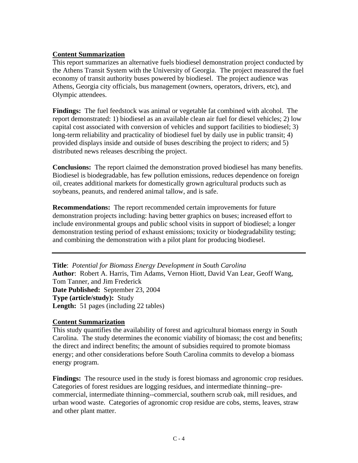#### **Content Summarization**

This report summarizes an alternative fuels biodiesel demonstration project conducted by the Athens Transit System with the University of Georgia. The project measured the fuel economy of transit authority buses powered by biodiesel. The project audience was Athens, Georgia city officials, bus management (owners, operators, drivers, etc), and Olympic attendees.

**Findings:** The fuel feedstock was animal or vegetable fat combined with alcohol. The report demonstrated: 1) biodiesel as an available clean air fuel for diesel vehicles; 2) low capital cost associated with conversion of vehicles and support facilities to biodiesel; 3) long-term reliability and practicality of biodiesel fuel by daily use in public transit; 4) provided displays inside and outside of buses describing the project to riders; and 5) distributed news releases describing the project.

**Conclusions:** The report claimed the demonstration proved biodiesel has many benefits. Biodiesel is biodegradable, has few pollution emissions, reduces dependence on foreign oil, creates additional markets for domestically grown agricultural products such as soybeans, peanuts, and rendered animal tallow, and is safe.

**Recommendations:** The report recommended certain improvements for future demonstration projects including: having better graphics on buses; increased effort to include environmental groups and public school visits in support of biodiesel; a longer demonstration testing period of exhaust emissions; toxicity or biodegradability testing; and combining the demonstration with a pilot plant for producing biodiesel.

**Title**: *Potential for Biomass Energy Development in South Carolina* **Author**: Robert A. Harris, Tim Adams, Vernon Hiott, David Van Lear, Geoff Wang, Tom Tanner, and Jim Frederick **Date Published:** September 23, 2004 **Type (article/study):** Study **Length:** 51 pages (including 22 tables)

#### **Content Summarization**

This study quantifies the availability of forest and agricultural biomass energy in South Carolina. The study determines the economic viability of biomass; the cost and benefits; the direct and indirect benefits; the amount of subsidies required to promote biomass energy; and other considerations before South Carolina commits to develop a biomass energy program.

**Findings:** The resource used in the study is forest biomass and agronomic crop residues. Categories of forest residues are logging residues, and intermediate thinning--precommercial, intermediate thinning--commercial, southern scrub oak, mill residues, and urban wood waste. Categories of agronomic crop residue are cobs, stems, leaves, straw and other plant matter.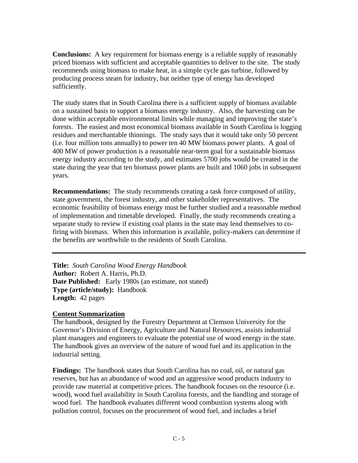**Conclusions:** A key requirement for biomass energy is a reliable supply of reasonably priced biomass with sufficient and acceptable quantities to deliver to the site. The study recommends using biomass to make heat, in a simple cycle gas turbine, followed by producing process steam for industry, but neither type of energy has developed sufficiently.

The study states that in South Carolina there is a sufficient supply of biomass available on a sustained basis to support a biomass energy industry. Also, the harvesting can be done within acceptable environmental limits while managing and improving the state's forests. The easiest and most economical biomass available in South Carolina is logging residues and merchantable thinnings. The study says that it would take only 50 percent (i.e. four million tons annually) to power ten 40 MW biomass power plants. A goal of 400 MW of power production is a reasonable near-term goal for a sustainable biomass energy industry according to the study, and estimates 5700 jobs would be created in the state during the year that ten biomass power plants are built and 1060 jobs in subsequent years.

**Recommendations:** The study recommends creating a task force composed of utility, state government, the forest industry, and other stakeholder representatives. The economic feasibility of biomass energy must be further studied and a reasonable method of implementation and timetable developed. Finally, the study recommends creating a separate study to review if existing coal plants in the state may lend themselves to cofiring with biomass. When this information is available, policy-makers can determine if the benefits are worthwhile to the residents of South Carolina.

**Title:** *South Carolina Wood Energy Handbook* **Author:** Robert A. Harris, Ph.D. **Date Published:** Early 1980s (an estimate, not stated) **Type (article/study):** Handbook **Length:** 42 pages

#### **Content Summarization**

The handbook, designed by the Forestry Department at Clemson University for the Governor's Division of Energy, Agriculture and Natural Resources, assists industrial plant managers and engineers to evaluate the potential use of wood energy in the state. The handbook gives an overview of the nature of wood fuel and its application in the industrial setting.

**Findings:** The handbook states that South Carolina has no coal, oil, or natural gas reserves, but has an abundance of wood and an aggressive wood products industry to provide raw material at competitive prices. The handbook focuses on the resource (i.e. wood), wood fuel availability in South Carolina forests, and the handling and storage of wood fuel. The handbook evaluates different wood combustion systems along with pollution control, focuses on the procurement of wood fuel, and includes a brief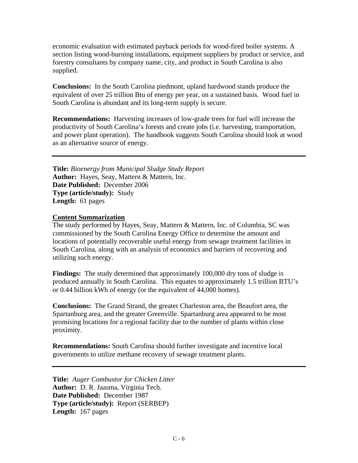economic evaluation with estimated payback periods for wood-fired boiler systems. A section listing wood-burning installations, equipment suppliers by product or service, and forestry consultants by company name, city, and product in South Carolina is also supplied.

**Conclusions:** In the South Carolina piedmont, upland hardwood stands produce the equivalent of over 25 trillion Btu of energy per year, on a sustained basis. Wood fuel in South Carolina is abundant and its long-term supply is secure.

**Recommendations:** Harvesting increases of low-grade trees for fuel will increase the productivity of South Carolina's forests and create jobs (i.e. harvesting, transportation, and power plant operation). The handbook suggests South Carolina should look at wood as an alternative source of energy.

**Title:** *Bioenergy from Municipal Sludge Study Report* **Author:** Hayes, Seay, Mattern & Mattern, Inc. **Date Published:** December 2006 **Type (article/study):** Study **Length:** 61 pages

#### **Content Summarization**

The study performed by Hayes, Seay, Mattern & Mattern, Inc. of Columbia, SC was commissioned by the South Carolina Energy Office to determine the amount and locations of potentially recoverable useful energy from sewage treatment facilities in South Carolina, along with an analysis of economics and barriers of recovering and utilizing such energy.

**Findings:** The study determined that approximately 100,000 dry tons of sludge is produced annually in South Carolina. This equates to approximately 1.5 trillion BTU's or 0.44 billion kWh of energy (or the equivalent of 44,000 homes).

**Conclusions:** The Grand Strand, the greater Charleston area, the Beaufort area, the Spartanburg area, and the greater Greenville. Spartanburg area appeared to be most promising locations for a regional facility due to the number of plants within close proximity.

**Recommendations:** South Carolina should further investigate and incentive local governments to utilize methane recovery of sewage treatment plants.

**Title:** *Auger Combustor for Chicken Litter* **Author:** D. R. Jaasma, Virginia Tech. **Date Published:** December 1987 **Type (article/study):** Report (SERBEP) **Length:** 167 pages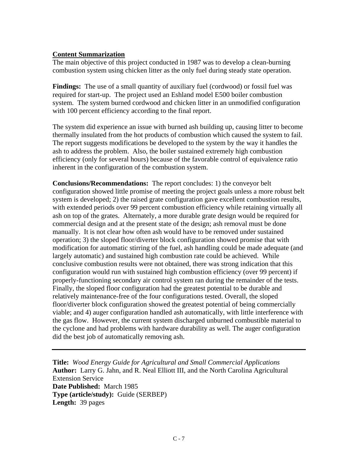#### **Content Summarization**

The main objective of this project conducted in 1987 was to develop a clean-burning combustion system using chicken litter as the only fuel during steady state operation.

**Findings:** The use of a small quantity of auxiliary fuel (cordwood) or fossil fuel was required for start-up. The project used an Eshland model E500 boiler combustion system. The system burned cordwood and chicken litter in an unmodified configuration with 100 percent efficiency according to the final report.

The system did experience an issue with burned ash building up, causing litter to become thermally insulated from the hot products of combustion which caused the system to fail. The report suggests modifications be developed to the system by the way it handles the ash to address the problem. Also, the boiler sustained extremely high combustion efficiency (only for several hours) because of the favorable control of equivalence ratio inherent in the configuration of the combustion system.

**Conclusions/Recommendations:** The report concludes: 1) the conveyor belt configuration showed little promise of meeting the project goals unless a more robust belt system is developed; 2) the raised grate configuration gave excellent combustion results, with extended periods over 99 percent combustion efficiency while retaining virtually all ash on top of the grates. Alternately, a more durable grate design would be required for commercial design and at the present state of the design; ash removal must be done manually. It is not clear how often ash would have to be removed under sustained operation; 3) the sloped floor/diverter block configuration showed promise that with modification for automatic stirring of the fuel, ash handling could be made adequate (and largely automatic) and sustained high combustion rate could be achieved. While conclusive combustion results were not obtained, there was strong indication that this configuration would run with sustained high combustion efficiency (over 99 percent) if properly-functioning secondary air control system ran during the remainder of the tests. Finally, the sloped floor configuration had the greatest potential to be durable and relatively maintenance-free of the four configurations tested. Overall, the sloped floor/diverter block configuration showed the greatest potential of being commercially viable; and 4) auger configuration handled ash automatically, with little interference with the gas flow. However, the current system discharged unburned combustible material to the cyclone and had problems with hardware durability as well. The auger configuration did the best job of automatically removing ash.

**Title:** *Wood Energy Guide for Agricultural and Small Commercial Applications*  **Author:** Larry G. Jahn, and R. Neal Elliott III, and the North Carolina Agricultural Extension Service **Date Published:** March 1985 **Type (article/study):** Guide (SERBEP) **Length:** 39 pages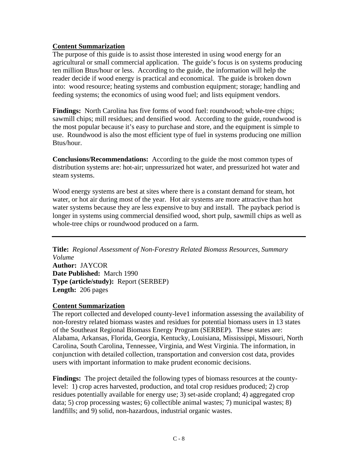#### **Content Summarization**

The purpose of this guide is to assist those interested in using wood energy for an agricultural or small commercial application. The guide's focus is on systems producing ten million Btus/hour or less. According to the guide, the information will help the reader decide if wood energy is practical and economical. The guide is broken down into: wood resource; heating systems and combustion equipment; storage; handling and feeding systems; the economics of using wood fuel; and lists equipment vendors.

**Findings:** North Carolina has five forms of wood fuel: roundwood; whole-tree chips; sawmill chips; mill residues; and densified wood. According to the guide, roundwood is the most popular because it's easy to purchase and store, and the equipment is simple to use. Roundwood is also the most efficient type of fuel in systems producing one million Btus/hour.

**Conclusions/Recommendations:** According to the guide the most common types of distribution systems are: hot-air; unpressurized hot water, and pressurized hot water and steam systems.

Wood energy systems are best at sites where there is a constant demand for steam, hot water, or hot air during most of the year. Hot air systems are more attractive than hot water systems because they are less expensive to buy and install. The payback period is longer in systems using commercial densified wood, short pulp, sawmill chips as well as whole-tree chips or roundwood produced on a farm.

**Title:** *Regional Assessment of Non-Forestry Related Biomass Resources, Summary Volume*  **Author:** JAYCOR **Date Published:** March 1990 **Type (article/study):** Report (SERBEP) **Length:** 206 pages

#### **Content Summarization**

The report collected and developed county-leve1 information assessing the availability of non-forestry related biomass wastes and residues for potential biomass users in 13 states of the Southeast Regional Biomass Energy Program (SERBEP). These states are: Alabama, Arkansas, Florida, Georgia, Kentucky, Louisiana, Mississippi, Missouri, North Carolina, South Carolina, Tennessee, Virginia, and West Virginia. The information, in conjunction with detailed collection, transportation and conversion cost data, provides users with important information to make prudent economic decisions.

**Findings:** The project detailed the following types of biomass resources at the countylevel: 1) crop acres harvested, production, and total crop residues produced; 2) crop residues potentially available for energy use; 3) set-aside cropland; 4) aggregated crop data; 5) crop processing wastes; 6) collectible animal wastes; 7) municipal wastes; 8) landfills; and 9) solid, non-hazardous, industrial organic wastes.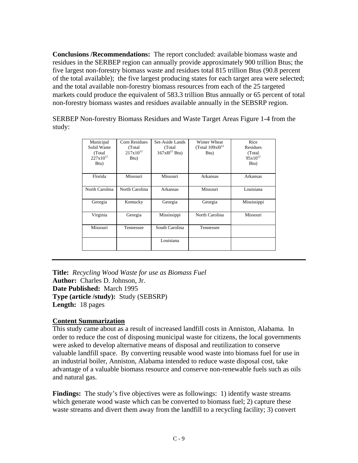**Conclusions /Recommendations:** The report concluded: available biomass waste and residues in the SERBEP region can annually provide approximately 900 trillion Btus; the five largest non-forestry biomass waste and residues total 815 trillion Btus (90.8 percent of the total available); the five largest producing states for each target area were selected; and the total available non-forestry biomass resources from each of the 25 targeted markets could produce the equivalent of 583.3 trillion Btus annually or 65 percent of total non-forestry biomass wastes and residues available annually in the SEBSRP region.

SERBEP Non-forestry Biomass Residues and Waste Target Areas Figure 1-4 from the study:

| Municipal<br>Solid Waste<br>(Total)<br>$227 \times 10^{12}$<br>Btu) | Corn Residues<br>(Total)<br>$217x10^{12}$<br>Btu) | Set-Aside Lands<br>(Total)<br>$167x10^{12}$ Btu) | Winter Wheat<br>(Total $109x10^{12}$<br>Btu) | Rice<br>Residues<br>(Total)<br>$95x10^{12}$<br>Btu) |
|---------------------------------------------------------------------|---------------------------------------------------|--------------------------------------------------|----------------------------------------------|-----------------------------------------------------|
| Florida                                                             | Missouri                                          | Missouri                                         | Arkansas                                     | Arkansas                                            |
| North Carolina                                                      | North Carolina                                    | Arkansas                                         | Missouri                                     | Louisiana                                           |
| Georgia                                                             | Kentucky                                          | Georgia                                          | Georgia                                      | Mississippi                                         |
| Virginia                                                            | Georgia                                           | Mississippi                                      | North Carolina                               | Missouri                                            |
| Missouri                                                            | Tennessee                                         | South Carolina                                   | Tennessee                                    |                                                     |
|                                                                     |                                                   | Louisiana                                        |                                              |                                                     |

**Title:** *Recycling Wood Waste for use as Biomass Fuel* **Author:** Charles D. Johnson, Jr. **Date Published:** March 1995 **Type (article /study):** Study (SEBSRP) **Length:** 18 pages

#### **Content Summarization**

This study came about as a result of increased landfill costs in Anniston, Alabama. In order to reduce the cost of disposing municipal waste for citizens, the local governments were asked to develop alternative means of disposal and reutilization to conserve valuable landfill space. By converting reusable wood waste into biomass fuel for use in an industrial boiler, Anniston, Alabama intended to reduce waste disposal cost, take advantage of a valuable biomass resource and conserve non-renewable fuels such as oils and natural gas.

**Findings:** The study's five objectives were as followings: 1) identify waste streams which generate wood waste which can be converted to biomass fuel; 2) capture these waste streams and divert them away from the landfill to a recycling facility; 3) convert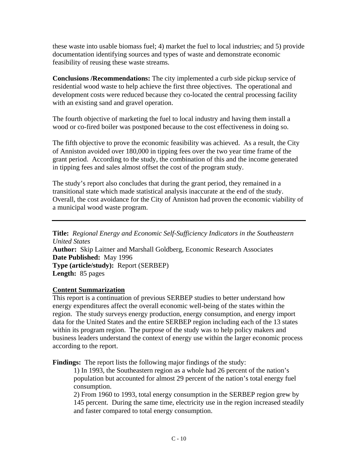these waste into usable biomass fuel; 4) market the fuel to local industries; and 5) provide documentation identifying sources and types of waste and demonstrate economic feasibility of reusing these waste streams.

**Conclusions /Recommendations:** The city implemented a curb side pickup service of residential wood waste to help achieve the first three objectives. The operational and development costs were reduced because they co-located the central processing facility with an existing sand and gravel operation.

The fourth objective of marketing the fuel to local industry and having them install a wood or co-fired boiler was postponed because to the cost effectiveness in doing so.

The fifth objective to prove the economic feasibility was achieved. As a result, the City of Anniston avoided over 180,000 in tipping fees over the two year time frame of the grant period. According to the study, the combination of this and the income generated in tipping fees and sales almost offset the cost of the program study.

The study's report also concludes that during the grant period, they remained in a transitional state which made statistical analysis inaccurate at the end of the study. Overall, the cost avoidance for the City of Anniston had proven the economic viability of a municipal wood waste program.

**Title:** *Regional Energy and Economic Self-Sufficiency Indicators in the Southeastern United States*  **Author:** Skip Laitner and Marshall Goldberg, Economic Research Associates **Date Published:** May 1996 **Type (article/study):** Report (SERBEP) **Length:** 85 pages

#### **Content Summarization**

This report is a continuation of previous SERBEP studies to better understand how energy expenditures affect the overall economic well-being of the states within the region. The study surveys energy production, energy consumption, and energy import data for the United States and the entire SERBEP region including each of the 13 states within its program region. The purpose of the study was to help policy makers and business leaders understand the context of energy use within the larger economic process according to the report.

**Findings:** The report lists the following major findings of the study:

1) In 1993, the Southeastern region as a whole had 26 percent of the nation's population but accounted for almost 29 percent of the nation's total energy fuel consumption.

2) From 1960 to 1993, total energy consumption in the SERBEP region grew by 145 percent. During the same time, electricity use in the region increased steadily and faster compared to total energy consumption.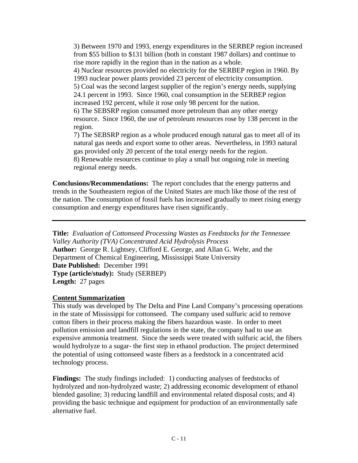3) Between 1970 and 1993, energy expenditures in the SERBEP region increased from \$55 billion to \$131 billion (both in constant 1987 dollars) and continue to rise more rapidly in the region than in the nation as a whole.

4) Nuclear resources provided no electricity for the SERBEP region in 1960. By 1993 nuclear power plants provided 23 percent of electricity consumption.

5) Coal was the second largest supplier of the region's energy needs, supplying 24.1 percent in 1993. Since 1960, coal consumption in the SERBEP region increased 192 percent, while it rose only 98 percent for the nation.

6) The SEBSRP region consumed more petroleum than any other energy resource. Since 1960, the use of petroleum resources rose by 138 percent in the region.

7) The SEBSRP region as a whole produced enough natural gas to meet all of its natural gas needs and export some to other areas. Nevertheless, in 1993 natural gas provided only 20 percent of the total energy needs for the region. 8) Renewable resources continue to play a small but ongoing role in meeting regional energy needs.

**Conclusions/Recommendations:** The report concludes that the energy patterns and trends in the Southeastern region of the United States are much like those of the rest of the nation. The consumption of fossil fuels has increased gradually to meet rising energy consumption and energy expenditures have risen significantly.

**Title:** *Evaluation of Cottonseed Processing Wastes as Feedstocks for the Tennessee Valley Authority (TVA) Concentrated Acid Hydrolysis Process*  **Author:** George R. Lightsey, Clifford E. George, and Allan G. Wehr, and the Department of Chemical Engineering, Mississippi State University **Date Published:** December 1991 **Type (article/study):** Study (SERBEP) **Length:** 27 pages

#### **Content Summarization**

This study was developed by The Delta and Pine Land Company's processing operations in the state of Mississippi for cottonseed. The company used sulfuric acid to remove cotton fibers in their process making the fibers hazardous waste. In order to meet pollution emission and landfill regulations in the state, the company had to use an expensive ammonia treatment. Since the seeds were treated with sulfuric acid, the fibers would hydrolyze to a sugar- the first step in ethanol production. The project determined the potential of using cottonseed waste fibers as a feedstock in a concentrated acid technology process.

**Findings:** The study findings included: 1) conducting analyses of feedstocks of hydrolyzed and non-hydrolyzed waste; 2) addressing economic development of ethanol blended gasoline; 3) reducing landfill and environmental related disposal costs; and 4) providing the basic technique and equipment for production of an environmentally safe alternative fuel.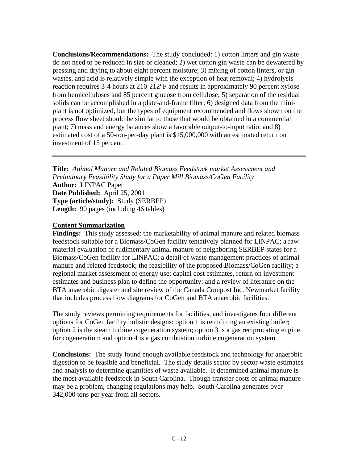**Conclusions/Recommendations:** The study concluded: 1) cotton linters and gin waste do not need to be reduced in size or cleaned; 2) wet cotton gin waste can be dewatered by pressing and drying to about eight percent moisture; 3) mixing of cotton linters, or gin wastes, and acid is relatively simple with the exception of heat removal; 4) hydrolysis reaction requires 3-4 hours at 210-212°F and results in approximately 90 percent xylose from hemicelluloses and 85 percent glucose from cellulose; 5) separation of the residual solids can be accomplished in a plate-and-frame filter; 6) designed data from the miniplant is not optimized, but the types of equipment recommended and flows shown on the process flow sheet should be similar to those that would be obtained in a commercial plant; 7) mass and energy balances show a favorable output-to-input ratio; and 8) estimated cost of a 50-ton-per-day plant is \$15,000,000 with an estimated return on investment of 15 percent.

**Title:** *Animal Manure and Related Biomass Feedstock market Assessment and Preliminary Feasibility Study for a Paper Mill Biomass/CoGen Facility*  **Author:** LINPAC Paper **Date Published:** April 25, 2001 **Type (article/study):** Study (SERBEP) **Length:** 90 pages (including 46 tables)

#### **Content Summarization**

**Findings:** This study assessed: the marketability of animal manure and related biomass feedstock suitable for a Biomass/CoGen facility tentatively planned for LINPAC; a raw material evaluation of rudimentary animal manure of neighboring SERBEP states for a Biomass/CoGen facility for LINPAC; a detail of waste management practices of animal manure and related feedstock; the feasibility of the proposed Biomass/CoGen facility; a regional market assessment of energy use; capital cost estimates, return on investment estimates and business plan to define the opportunity; and a review of literature on the BTA anaerobic digester and site review of the Canada Compost Inc. Newmarket facility that includes process flow diagrams for CoGen and BTA anaerobic facilities.

The study reviews permitting requirements for facilities, and investigates four different options for CoGen facility holistic designs: option 1 is retrofitting an existing boiler; option 2 is the steam turbine cogeneration system; option 3 is a gas reciprocating engine for cogeneration; and option 4 is a gas combustion turbine cogeneration system.

**Conclusions:** The study found enough available feedstock and technology for anaerobic digestion to be feasible and beneficial. The study details sector by sector waste estimates and analysis to determine quantities of waste available. It determined animal manure is the most available feedstock in South Carolina. Though transfer costs of animal manure may be a problem, changing regulations may help. South Carolina generates over 342,000 tons per year from all sectors.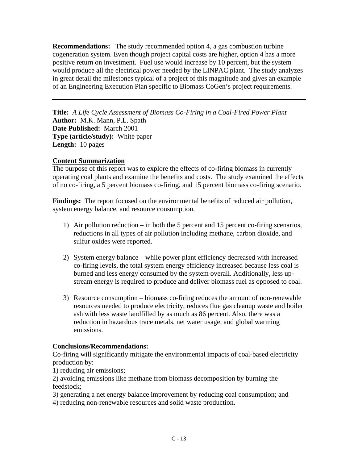**Recommendations:** The study recommended option 4, a gas combustion turbine cogeneration system. Even though project capital costs are higher, option 4 has a more positive return on investment. Fuel use would increase by 10 percent, but the system would produce all the electrical power needed by the LINPAC plant. The study analyzes in great detail the milestones typical of a project of this magnitude and gives an example of an Engineering Execution Plan specific to Biomass CoGen's project requirements.

**Title:** *A Life Cycle Assessment of Biomass Co-Firing in a Coal-Fired Power Plant* Author: M.K. Mann, P.L. Spath **Date Published:** March 2001 **Type (article/study):** White paper **Length:** 10 pages

#### **Content Summarization**

The purpose of this report was to explore the effects of co-firing biomass in currently operating coal plants and examine the benefits and costs. The study examined the effects of no co-firing, a 5 percent biomass co-firing, and 15 percent biomass co-firing scenario.

**Findings:** The report focused on the environmental benefits of reduced air pollution, system energy balance, and resource consumption.

- 1) Air pollution reduction in both the 5 percent and 15 percent co-firing scenarios, reductions in all types of air pollution including methane, carbon dioxide, and sulfur oxides were reported.
- 2) System energy balance while power plant efficiency decreased with increased co-firing levels, the total system energy efficiency increased because less coal is burned and less energy consumed by the system overall. Additionally, less upstream energy is required to produce and deliver biomass fuel as opposed to coal.
- 3) Resource consumption biomass co-firing reduces the amount of non-renewable resources needed to produce electricity, reduces flue gas cleanup waste and boiler ash with less waste landfilled by as much as 86 percent. Also, there was a reduction in hazardous trace metals, net water usage, and global warming emissions.

#### **Conclusions/Recommendations:**

Co-firing will significantly mitigate the environmental impacts of coal-based electricity production by:

1) reducing air emissions;

2) avoiding emissions like methane from biomass decomposition by burning the feedstock;

3) generating a net energy balance improvement by reducing coal consumption; and

4) reducing non-renewable resources and solid waste production.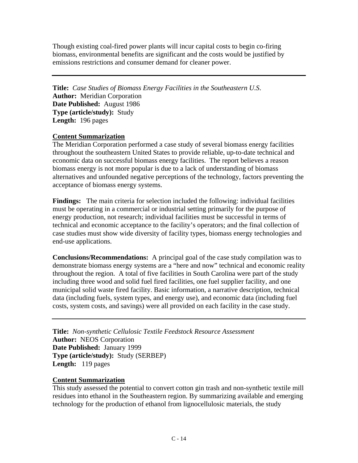Though existing coal-fired power plants will incur capital costs to begin co-firing biomass, environmental benefits are significant and the costs would be justified by emissions restrictions and consumer demand for cleaner power.

**Title:** *Case Studies of Biomass Energy Facilities in the Southeastern U.S*. **Author:** Meridian Corporation **Date Published:** August 1986 **Type (article/study):** Study **Length:** 196 pages

#### **Content Summarization**

The Meridian Corporation performed a case study of several biomass energy facilities throughout the southeastern United States to provide reliable, up-to-date technical and economic data on successful biomass energy facilities. The report believes a reason biomass energy is not more popular is due to a lack of understanding of biomass alternatives and unfounded negative perceptions of the technology, factors preventing the acceptance of biomass energy systems.

**Findings:** The main criteria for selection included the following: individual facilities must be operating in a commercial or industrial setting primarily for the purpose of energy production, not research; individual facilities must be successful in terms of technical and economic acceptance to the facility's operators; and the final collection of case studies must show wide diversity of facility types, biomass energy technologies and end-use applications.

**Conclusions/Recommendations:** A principal goal of the case study compilation was to demonstrate biomass energy systems are a "here and now" technical and economic reality throughout the region. A total of five facilities in South Carolina were part of the study including three wood and solid fuel fired facilities, one fuel supplier facility, and one municipal solid waste fired facility. Basic information, a narrative description, technical data (including fuels, system types, and energy use), and economic data (including fuel costs, system costs, and savings) were all provided on each facility in the case study.

**Title:** *Non-synthetic Cellulosic Textile Feedstock Resource Assessment*  **Author:** NEOS Corporation **Date Published:** January 1999 **Type (article/study):** Study (SERBEP) **Length:** 119 pages

#### **Content Summarization**

This study assessed the potential to convert cotton gin trash and non-synthetic textile mill residues into ethanol in the Southeastern region. By summarizing available and emerging technology for the production of ethanol from lignocellulosic materials, the study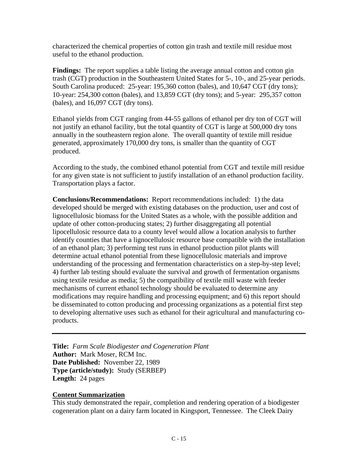characterized the chemical properties of cotton gin trash and textile mill residue most useful to the ethanol production.

**Findings:** The report supplies a table listing the average annual cotton and cotton gin trash (CGT) production in the Southeastern United States for 5-, 10-, and 25-year periods. South Carolina produced: 25-year: 195,360 cotton (bales), and 10,647 CGT (dry tons); 10-year: 254,300 cotton (bales), and 13,859 CGT (dry tons); and 5-year: 295,357 cotton (bales), and 16,097 CGT (dry tons).

Ethanol yields from CGT ranging from 44-55 gallons of ethanol per dry ton of CGT will not justify an ethanol facility, but the total quantity of CGT is large at 500,000 dry tons annually in the southeastern region alone. The overall quantity of textile mill residue generated, approximately 170,000 dry tons, is smaller than the quantity of CGT produced.

According to the study, the combined ethanol potential from CGT and textile mill residue for any given state is not sufficient to justify installation of an ethanol production facility. Transportation plays a factor.

**Conclusions/Recommendations:** Report recommendations included: 1) the data developed should be merged with existing databases on the production, user and cost of lignocellulosic biomass for the United States as a whole, with the possible addition and update of other cotton-producing states; 2) further disaggregating all potential lipocellulosic resource data to a county level would allow a location analysis to further identify counties that have a lignocellulosic resource base compatible with the installation of an ethanol plan; 3) performing test runs in ethanol production pilot plants will determine actual ethanol potential from these lignocellulosic materials and improve understanding of the processing and fermentation characteristics on a step-by-step level; 4) further lab testing should evaluate the survival and growth of fermentation organisms using textile residue as media; 5) the compatibility of textile mill waste with feeder mechanisms of current ethanol technology should be evaluated to determine any modifications may require handling and processing equipment; and 6) this report should be disseminated to cotton producing and processing organizations as a potential first step to developing alternative uses such as ethanol for their agricultural and manufacturing coproducts.

**Title:** *Farm Scale Biodigester and Cogeneration Plant* **Author:** Mark Moser, RCM Inc. **Date Published:** November 22, 1989 **Type (article/study):** Study (SERBEP) **Length:** 24 pages

#### **Content Summarization**

This study demonstrated the repair, completion and rendering operation of a biodigester cogeneration plant on a dairy farm located in Kingsport, Tennessee. The Cleek Dairy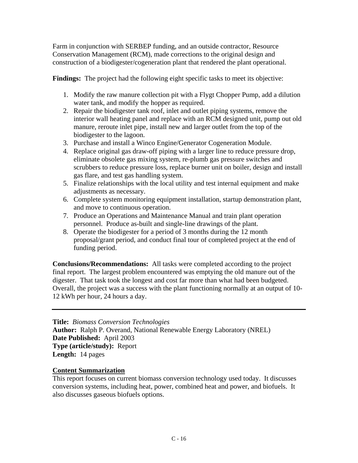Farm in conjunction with SERBEP funding, and an outside contractor, Resource Conservation Management (RCM), made corrections to the original design and construction of a biodigester/cogeneration plant that rendered the plant operational.

**Findings:** The project had the following eight specific tasks to meet its objective:

- 1. Modify the raw manure collection pit with a Flygt Chopper Pump, add a dilution water tank, and modify the hopper as required.
- 2. Repair the biodigester tank roof, inlet and outlet piping systems, remove the interior wall heating panel and replace with an RCM designed unit, pump out old manure, reroute inlet pipe, install new and larger outlet from the top of the biodigester to the lagoon.
- 3. Purchase and install a Winco Engine/Generator Cogeneration Module.
- 4. Replace original gas draw-off piping with a larger line to reduce pressure drop, eliminate obsolete gas mixing system, re-plumb gas pressure switches and scrubbers to reduce pressure loss, replace burner unit on boiler, design and install gas flare, and test gas handling system.
- 5. Finalize relationships with the local utility and test internal equipment and make adjustments as necessary.
- 6. Complete system monitoring equipment installation, startup demonstration plant, and move to continuous operation.
- 7. Produce an Operations and Maintenance Manual and train plant operation personnel. Produce as-built and single-line drawings of the plant.
- 8. Operate the biodigester for a period of 3 months during the 12 month proposal/grant period, and conduct final tour of completed project at the end of funding period.

**Conclusions/Recommendations:** All tasks were completed according to the project final report. The largest problem encountered was emptying the old manure out of the digester. That task took the longest and cost far more than what had been budgeted. Overall, the project was a success with the plant functioning normally at an output of 10- 12 kWh per hour, 24 hours a day.

**Title:** *Biomass Conversion Technologies*  **Author:** Ralph P. Overand, National Renewable Energy Laboratory (NREL) **Date Published:** April 2003 **Type (article/study):** Report **Length:** 14 pages

#### **Content Summarization**

This report focuses on current biomass conversion technology used today. It discusses conversion systems, including heat, power, combined heat and power, and biofuels. It also discusses gaseous biofuels options.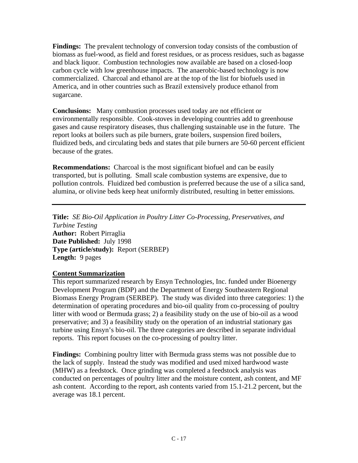**Findings:** The prevalent technology of conversion today consists of the combustion of biomass as fuel-wood, as field and forest residues, or as process residues, such as bagasse and black liquor. Combustion technologies now available are based on a closed-loop carbon cycle with low greenhouse impacts. The anaerobic-based technology is now commercialized. Charcoal and ethanol are at the top of the list for biofuels used in America, and in other countries such as Brazil extensively produce ethanol from sugarcane.

**Conclusions:** Many combustion processes used today are not efficient or environmentally responsible. Cook-stoves in developing countries add to greenhouse gases and cause respiratory diseases, thus challenging sustainable use in the future. The report looks at boilers such as pile burners, grate boilers, suspension fired boilers, fluidized beds, and circulating beds and states that pile burners are 50-60 percent efficient because of the grates.

**Recommendations:** Charcoal is the most significant biofuel and can be easily transported, but is polluting. Small scale combustion systems are expensive, due to pollution controls. Fluidized bed combustion is preferred because the use of a silica sand, alumina, or olivine beds keep heat uniformly distributed, resulting in better emissions.

**Title:** *SE Bio-Oil Application in Poultry Litter Co-Processing, Preservatives, and Turbine Testing* **Author:** Robert Pirraglia **Date Published:** July 1998 **Type (article/study):** Report (SERBEP) **Length:** 9 pages

#### **Content Summarization**

This report summarized research by Ensyn Technologies, Inc. funded under Bioenergy Development Program (BDP) and the Department of Energy Southeastern Regional Biomass Energy Program (SERBEP). The study was divided into three categories: 1) the determination of operating procedures and bio-oil quality from co-processing of poultry litter with wood or Bermuda grass; 2) a feasibility study on the use of bio-oil as a wood preservative; and 3) a feasibility study on the operation of an industrial stationary gas turbine using Ensyn's bio-oil. The three categories are described in separate individual reports. This report focuses on the co-processing of poultry litter.

**Findings:** Combining poultry litter with Bermuda grass stems was not possible due to the lack of supply. Instead the study was modified and used mixed hardwood waste (MHW) as a feedstock. Once grinding was completed a feedstock analysis was conducted on percentages of poultry litter and the moisture content, ash content, and MF ash content. According to the report, ash contents varied from 15.1-21.2 percent, but the average was 18.1 percent.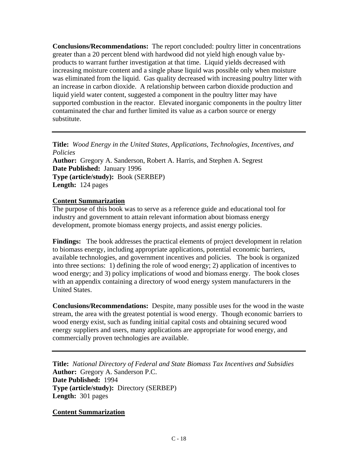**Conclusions/Recommendations:** The report concluded: poultry litter in concentrations greater than a 20 percent blend with hardwood did not yield high enough value byproducts to warrant further investigation at that time. Liquid yields decreased with increasing moisture content and a single phase liquid was possible only when moisture was eliminated from the liquid. Gas quality decreased with increasing poultry litter with an increase in carbon dioxide. A relationship between carbon dioxide production and liquid yield water content, suggested a component in the poultry litter may have supported combustion in the reactor. Elevated inorganic components in the poultry litter contaminated the char and further limited its value as a carbon source or energy substitute.

**Title:** *Wood Energy in the United States, Applications, Technologies, Incentives, and Policies*  **Author:** Gregory A. Sanderson, Robert A. Harris, and Stephen A. Segrest **Date Published:** January 1996 **Type (article/study):** Book (SERBEP) **Length:** 124 pages

#### **Content Summarization**

The purpose of this book was to serve as a reference guide and educational tool for industry and government to attain relevant information about biomass energy development, promote biomass energy projects, and assist energy policies.

**Findings:** The book addresses the practical elements of project development in relation to biomass energy, including appropriate applications, potential economic barriers, available technologies, and government incentives and policies. The book is organized into three sections: 1) defining the role of wood energy; 2) application of incentives to wood energy; and 3) policy implications of wood and biomass energy. The book closes with an appendix containing a directory of wood energy system manufacturers in the United States.

**Conclusions/Recommendations:** Despite, many possible uses for the wood in the waste stream, the area with the greatest potential is wood energy. Though economic barriers to wood energy exist, such as funding initial capital costs and obtaining secured wood energy suppliers and users, many applications are appropriate for wood energy, and commercially proven technologies are available.

**Title:** *National Directory of Federal and State Biomass Tax Incentives and Subsidies*  **Author:** Gregory A. Sanderson P.C. **Date Published:** 1994 **Type (article/study):** Directory (SERBEP) **Length:** 301 pages

**Content Summarization**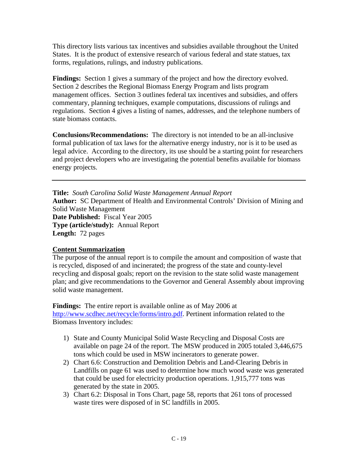This directory lists various tax incentives and subsidies available throughout the United States. It is the product of extensive research of various federal and state statues, tax forms, regulations, rulings, and industry publications.

**Findings:** Section 1 gives a summary of the project and how the directory evolved. Section 2 describes the Regional Biomass Energy Program and lists program management offices. Section 3 outlines federal tax incentives and subsidies, and offers commentary, planning techniques, example computations, discussions of rulings and regulations. Section 4 gives a listing of names, addresses, and the telephone numbers of state biomass contacts.

**Conclusions/Recommendations:** The directory is not intended to be an all-inclusive formal publication of tax laws for the alternative energy industry, nor is it to be used as legal advice. According to the directory, its use should be a starting point for researchers and project developers who are investigating the potential benefits available for biomass energy projects.

**Title:** *South Carolina Solid Waste Management Annual Report*  **Author:** SC Department of Health and Environmental Controls' Division of Mining and Solid Waste Management **Date Published:** Fiscal Year 2005 **Type (article/study):** Annual Report **Length:** 72 pages

#### **Content Summarization**

The purpose of the annual report is to compile the amount and composition of waste that is recycled, disposed of and incinerated; the progress of the state and county-level recycling and disposal goals; report on the revision to the state solid waste management plan; and give recommendations to the Governor and General Assembly about improving solid waste management.

**Findings:** The entire report is available online as of May 2006 at <http://www.scdhec.net/recycle/forms/intro.pdf>. Pertinent information related to the Biomass Inventory includes:

- 1) State and County Municipal Solid Waste Recycling and Disposal Costs are available on page 24 of the report. The MSW produced in 2005 totaled 3,446,675 tons which could be used in MSW incinerators to generate power.
- 2) Chart 6.6: Construction and Demolition Debris and Land-Clearing Debris in Landfills on page 61 was used to determine how much wood waste was generated that could be used for electricity production operations. 1,915,777 tons was generated by the state in 2005.
- 3) Chart 6.2: Disposal in Tons Chart, page 58, reports that 261 tons of processed waste tires were disposed of in SC landfills in 2005.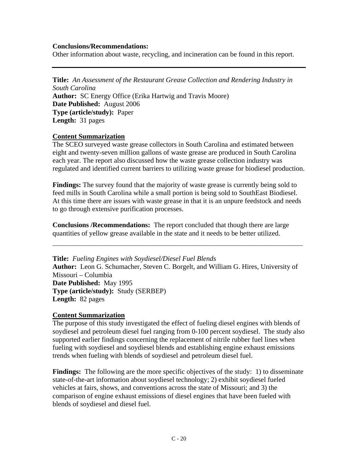#### **Conclusions/Recommendations:**

Other information about waste, recycling, and incineration can be found in this report.

**Title:** *An Assessment of the Restaurant Grease Collection and Rendering Industry in South Carolina*  **Author:** SC Energy Office (Erika Hartwig and Travis Moore) **Date Published:** August 2006 **Type (article/study):** Paper

**Length:** 31 pages

#### **Content Summarization**

The SCEO surveyed waste grease collectors in South Carolina and estimated between eight and twenty-seven million gallons of waste grease are produced in South Carolina each year. The report also discussed how the waste grease collection industry was regulated and identified current barriers to utilizing waste grease for biodiesel production.

**Findings:** The survey found that the majority of waste grease is currently being sold to feed mills in South Carolina while a small portion is being sold to SouthEast Biodiesel. At this time there are issues with waste grease in that it is an unpure feedstock and needs to go through extensive purification processes.

**Conclusions /Recommendations:** The report concluded that though there are large quantities of yellow grease available in the state and it needs to be better utilized.

**\_\_\_\_\_\_\_\_\_\_\_\_\_\_\_\_\_\_\_\_\_\_\_\_\_\_\_\_\_\_\_\_\_\_\_\_\_\_\_\_\_\_\_\_\_\_\_\_\_\_\_\_\_\_\_**

**Title:** *Fueling Engines with Soydiesel/Diesel Fuel Blends* **Author:** Leon G. Schumacher, Steven C. Borgelt, and William G. Hires, University of Missouri – Columbia **Date Published:** May 1995 **Type (article/study):** Study (SERBEP) **Length:** 82 pages

#### **Content Summarization**

The purpose of this study investigated the effect of fueling diesel engines with blends of soydiesel and petroleum diesel fuel ranging from 0-100 percent soydiesel. The study also supported earlier findings concerning the replacement of nitrile rubber fuel lines when fueling with soydiesel and soydiesel blends and establishing engine exhaust emissions trends when fueling with blends of soydiesel and petroleum diesel fuel.

**Findings:** The following are the more specific objectives of the study: 1) to disseminate state-of-the-art information about soydiesel technology; 2) exhibit soydiesel fueled vehicles at fairs, shows, and conventions across the state of Missouri; and 3) the comparison of engine exhaust emissions of diesel engines that have been fueled with blends of soydiesel and diesel fuel.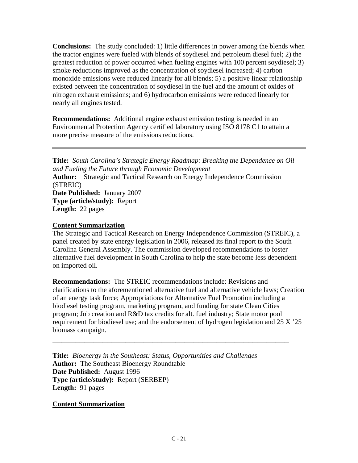**Conclusions:** The study concluded: 1) little differences in power among the blends when the tractor engines were fueled with blends of soydiesel and petroleum diesel fuel; 2) the greatest reduction of power occurred when fueling engines with 100 percent soydiesel; 3) smoke reductions improved as the concentration of soydiesel increased; 4) carbon monoxide emissions were reduced linearly for all blends; 5) a positive linear relationship existed between the concentration of soydiesel in the fuel and the amount of oxides of nitrogen exhaust emissions; and 6) hydrocarbon emissions were reduced linearly for nearly all engines tested.

**Recommendations:** Additional engine exhaust emission testing is needed in an Environmental Protection Agency certified laboratory using ISO 8178 C1 to attain a more precise measure of the emissions reductions.

**Title:** *South Carolina's Strategic Energy Roadmap: Breaking the Dependence on Oil and Fueling the Future through Economic Development* **Author:** Strategic and Tactical Research on Energy Independence Commission (STREIC) **Date Published:** January 2007 **Type (article/study):** Report **Length:** 22 pages

#### **Content Summarization**

The Strategic and Tactical Research on Energy Independence Commission (STREIC), a panel created by state energy legislation in 2006, released its final report to the South Carolina General Assembly. The commission developed recommendations to foster alternative fuel development in South Carolina to help the state become less dependent on imported oil.

**Recommendations:** The STREIC recommendations include: Revisions and clarifications to the aforementioned alternative fuel and alternative vehicle laws; Creation of an energy task force; Appropriations for Alternative Fuel Promotion including a biodiesel testing program, marketing program, and funding for state Clean Cities program; Job creation and R&D tax credits for alt. fuel industry; State motor pool requirement for biodiesel use; and the endorsement of hydrogen legislation and 25 X '25 biomass campaign.

**\_\_\_\_\_\_\_\_\_\_\_\_\_\_\_\_\_\_\_\_\_\_\_\_\_\_\_\_\_\_\_\_\_\_\_\_\_\_\_\_\_\_\_\_\_\_\_\_\_\_\_\_**

**Title:** *Bioenergy in the Southeast: Status, Opportunities and Challenges* **Author:** The Southeast Bioenergy Roundtable **Date Published:** August 1996 **Type (article/study):** Report (SERBEP) **Length:** 91 pages

#### **Content Summarization**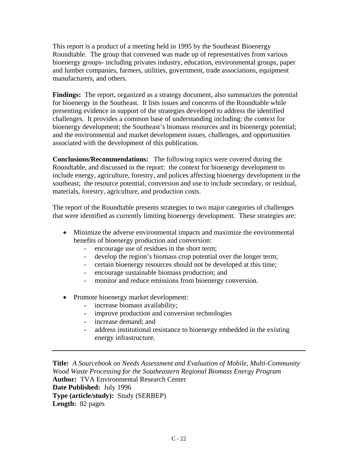This report is a product of a meeting held in 1995 by the Southeast Bioenergy Roundtable. The group that convened was made up of representatives from various bioenergy groups- including privates industry, education, environmental groups, paper and lumber companies, farmers, utilities, government, trade associations, equipment manufacturers, and others.

**Findings:** The report, organized as a strategy document, also summarizes the potential for bioenergy in the Southeast. It lists issues and concerns of the Roundtable while presenting evidence in support of the strategies developed to address the identified challenges. It provides a common base of understanding including: the context for bioenergy development; the Southeast's biomass resources and its bioenergy potential; and the environmental and market development issues, challenges, and opportunities associated with the development of this publication.

**Conclusions/Recommendations:** The following topics were covered during the Roundtable, and discussed in the report: the context for bioenergy development to include energy, agriculture, forestry, and polices affecting bioenergy development in the southeast; the resource potential, conversion and use to include secondary, or residual, materials, forestry, agriculture, and production costs.

The report of the Roundtable presents strategies to two major categories of challenges that were identified as currently limiting bioenergy development. These strategies are:

- Minimize the adverse environmental impacts and maximize the environmental benefits of bioenergy production and conversion:
	- encourage use of residues in the short term;
	- develop the region's biomass crop potential over the longer term;
	- certain bioenergy resources should not be developed at this time;
	- encourage sustainable biomass production; and
	- monitor and reduce emissions from bioenergy conversion.
- Promote bioenergy market development:
	- increase biomass availability;
	- improve production and conversion technologies
	- increase demand; and
	- address institutional resistance to bioenergy embedded in the existing energy infrastructure.

**Title:** *A Sourcebook on Needs Assessment and Evaluation of Mobile, Multi-Community Wood Waste Processing for the Southeastern Regional Biomass Energy Program* **Author:** TVA Environmental Research Center **Date Published:** July 1996 **Type (article/study):** Study (SERBEP) **Length:** 82 pages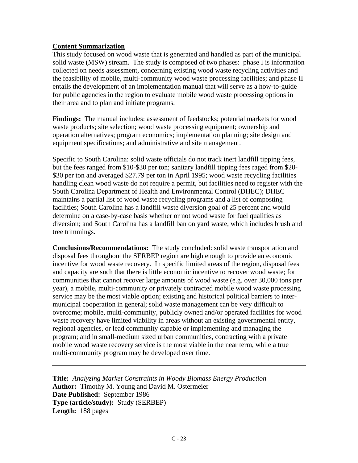#### **Content Summarization**

This study focused on wood waste that is generated and handled as part of the municipal solid waste (MSW) stream. The study is composed of two phases: phase I is information collected on needs assessment, concerning existing wood waste recycling activities and the feasibility of mobile, multi-community wood waste processing facilities; and phase II entails the development of an implementation manual that will serve as a how-to-guide for public agencies in the region to evaluate mobile wood waste processing options in their area and to plan and initiate programs.

**Findings:** The manual includes: assessment of feedstocks; potential markets for wood waste products; site selection; wood waste processing equipment; ownership and operation alternatives; program economics; implementation planning; site design and equipment specifications; and administrative and site management.

Specific to South Carolina: solid waste officials do not track inert landfill tipping fees, but the fees ranged from \$10-\$30 per ton; sanitary landfill tipping fees raged from \$20- \$30 per ton and averaged \$27.79 per ton in April 1995; wood waste recycling facilities handling clean wood waste do not require a permit, but facilities need to register with the South Carolina Department of Health and Environmental Control (DHEC); DHEC maintains a partial list of wood waste recycling programs and a list of composting facilities; South Carolina has a landfill waste diversion goal of 25 percent and would determine on a case-by-case basis whether or not wood waste for fuel qualifies as diversion; and South Carolina has a landfill ban on yard waste, which includes brush and tree trimmings.

**Conclusions/Recommendations:** The study concluded: solid waste transportation and disposal fees throughout the SERBEP region are high enough to provide an economic incentive for wood waste recovery. In specific limited areas of the region, disposal fees and capacity are such that there is little economic incentive to recover wood waste; for communities that cannot recover large amounts of wood waste (e.g. over 30,000 tons per year), a mobile, multi-community or privately contracted mobile wood waste processing service may be the most viable option; existing and historical political barriers to intermunicipal cooperation in general; solid waste management can be very difficult to overcome; mobile, multi-community, publicly owned and/or operated facilities for wood waste recovery have limited viability in areas without an existing governmental entity, regional agencies, or lead community capable or implementing and managing the program; and in small-medium sized urban communities, contracting with a private mobile wood waste recovery service is the most viable in the near term, while a true multi-community program may be developed over time.

**Title:** *Analyzing Market Constraints in Woody Biomass Energy Production* **Author:** Timothy M. Young and David M. Ostermeier **Date Published:** September 1986 **Type (article/study):** Study (SERBEP) **Length:** 188 pages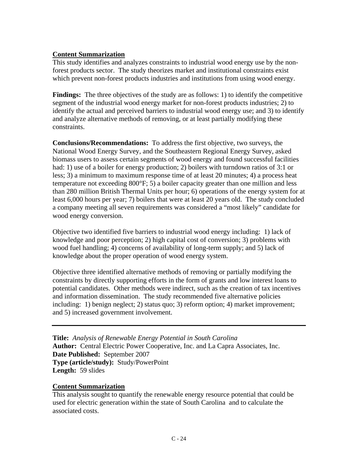#### **Content Summarization**

This study identifies and analyzes constraints to industrial wood energy use by the nonforest products sector. The study theorizes market and institutional constraints exist which prevent non-forest products industries and institutions from using wood energy.

**Findings:** The three objectives of the study are as follows: 1) to identify the competitive segment of the industrial wood energy market for non-forest products industries; 2) to identify the actual and perceived barriers to industrial wood energy use; and 3) to identify and analyze alternative methods of removing, or at least partially modifying these constraints.

**Conclusions/Recommendations:** To address the first objective, two surveys, the National Wood Energy Survey, and the Southeastern Regional Energy Survey, asked biomass users to assess certain segments of wood energy and found successful facilities had: 1) use of a boiler for energy production; 2) boilers with turndown ratios of 3:1 or less; 3) a minimum to maximum response time of at least 20 minutes; 4) a process heat temperature not exceeding 800°F; 5) a boiler capacity greater than one million and less than 280 million British Thermal Units per hour; 6) operations of the energy system for at least 6,000 hours per year; 7) boilers that were at least 20 years old. The study concluded a company meeting all seven requirements was considered a "most likely" candidate for wood energy conversion.

Objective two identified five barriers to industrial wood energy including: 1) lack of knowledge and poor perception; 2) high capital cost of conversion; 3) problems with wood fuel handling; 4) concerns of availability of long-term supply; and 5) lack of knowledge about the proper operation of wood energy system.

Objective three identified alternative methods of removing or partially modifying the constraints by directly supporting efforts in the form of grants and low interest loans to potential candidates. Other methods were indirect, such as the creation of tax incentives and information dissemination. The study recommended five alternative policies including: 1) benign neglect; 2) status quo; 3) reform option; 4) market improvement; and 5) increased government involvement.

**Title:** *Analysis of Renewable Energy Potential in South Carolina* **Author:** Central Electric Power Cooperative, Inc. and La Capra Associates, Inc. **Date Published:** September 2007 **Type (article/study):** Study/PowerPoint **Length:** 59 slides

#### **Content Summarization**

This analysis sought to quantify the renewable energy resource potential that could be used for electric generation within the state of South Carolina and to calculate the associated costs.